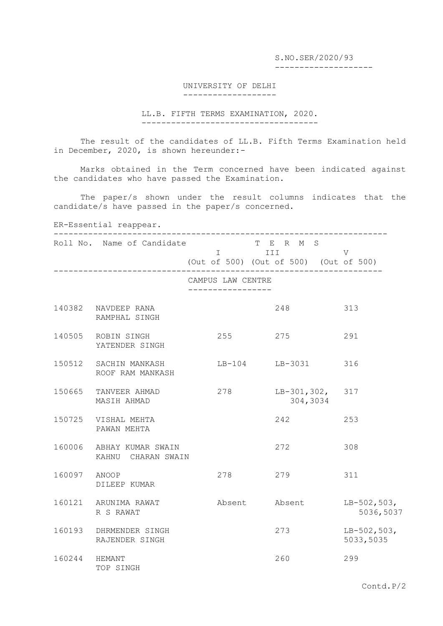S.NO.SER/2020/93 --------------------

#### UNIVERSITY OF DELHI -------------------

### LL.B. FIFTH TERMS EXAMINATION, 2020. ------------------------------------

The result of the candidates of LL.B. Fifth Terms Examination held in December, 2020, is shown hereunder:-

Marks obtained in the Term concerned have been indicated against the candidates who have passed the Examination.

The paper/s shown under the result columns indicates that the candidate/s have passed in the paper/s concerned.

#### ER-Essential reappear.

|               | Roll No. Name of Candidate T E R M S<br>III V<br>(Out of 500) (Out of 500) (Out of 500)<br>. _ _ _ _ _ _ _ _ _ _ _ _ _ _ _ _ _ _ |                   |                                |                            |
|---------------|----------------------------------------------------------------------------------------------------------------------------------|-------------------|--------------------------------|----------------------------|
|               |                                                                                                                                  | CAMPUS LAW CENTRE |                                |                            |
|               | 140382 NAVDEEP RANA<br>RAMPHAL SINGH                                                                                             |                   | 248                            | 313                        |
|               | 140505 ROBIN SINGH<br>YATENDER SINGH                                                                                             | 255               | 275                            | 291                        |
|               | 150512 SACHIN MANKASH<br>ROOF RAM MANKASH                                                                                        |                   | LB-104 LB-3031                 | 316                        |
|               | 150665 TANVEER AHMAD<br>MASIH AHMAD                                                                                              | 278               | $LB-301, 302, 317$<br>304,3034 |                            |
|               | 150725 VISHAL MEHTA<br>PAWAN MEHTA                                                                                               |                   | 242                            | 253                        |
|               | 160006 ABHAY KUMAR SWAIN<br>KAHNU CHARAN SWAIN                                                                                   |                   | 272                            | 308                        |
| 160097 ANOOP  | DILEEP KUMAR                                                                                                                     | 278               | 279                            | 311                        |
|               | 160121 ARUNIMA RAWAT<br>R S RAWAT                                                                                                |                   | Absent Absent                  | $LB-502,503,$<br>5036,5037 |
|               | 160193 DHRMENDER SINGH<br>RAJENDER SINGH                                                                                         |                   | 273                            | $LB-502,503,$<br>5033,5035 |
| 160244 HEMANT | TOP SINGH                                                                                                                        |                   | 260                            | 299                        |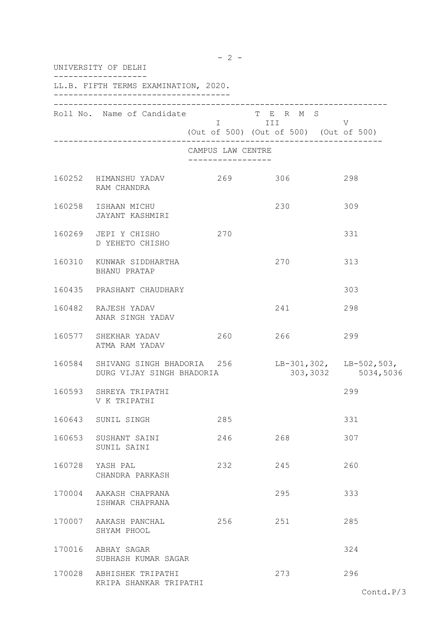| UNIVERSITY OF DELHI                                                                    |                   |                                                                                                                                                                        |                       |
|----------------------------------------------------------------------------------------|-------------------|------------------------------------------------------------------------------------------------------------------------------------------------------------------------|-----------------------|
| LL.B. FIFTH TERMS EXAMINATION, 2020.                                                   |                   |                                                                                                                                                                        |                       |
| Roll No. Name of Candidate                                                             |                   | T E R M S<br>I III DIE STATISTICS IN 1979 IN 1979 IN 1979 IN 1979 IN 1979 IN 1979 IN 1979 IN 1979 IN 1979 IN 1979 IN 1979 IN<br>(Out of 500) (Out of 500) (Out of 500) | V                     |
|                                                                                        | CAMPUS LAW CENTRE |                                                                                                                                                                        |                       |
| 160252 HIMANSHU YADAV<br>RAM CHANDRA                                                   | 269               | 306                                                                                                                                                                    | 298                   |
| 160258 ISHAAN MICHU<br>JAYANT KASHMIRI                                                 |                   | 230                                                                                                                                                                    | 309                   |
| 160269 JEPI Y CHISHO<br>D YEHETO CHISHO                                                | 270               |                                                                                                                                                                        | 331                   |
| 160310 KUNWAR SIDDHARTHA<br>BHANU PRATAP                                               |                   | 270                                                                                                                                                                    | 313                   |
| 160435 PRASHANT CHAUDHARY                                                              |                   |                                                                                                                                                                        | 303                   |
| 160482 RAJESH YADAV<br>ANAR SINGH YADAV                                                |                   | 241                                                                                                                                                                    | 298                   |
| 160577 SHEKHAR YADAV<br>ATMA RAM YADAV                                                 | 260               | 266                                                                                                                                                                    | 299                   |
| 160584 SHIVANG SINGH BHADORIA 256 LB-301,302, LB-502,503,<br>DURG VIJAY SINGH BHADORIA |                   |                                                                                                                                                                        | 303,3032<br>5034,5036 |
| 160593 SHREYA TRIPATHI<br>V K TRIPATHI                                                 |                   |                                                                                                                                                                        | 299                   |
| 160643 SUNIL SINGH                                                                     | 285               |                                                                                                                                                                        | 331                   |
| 160653 SUSHANT SAINI<br>SUNIL SAINI                                                    | 246               | 268                                                                                                                                                                    | 307                   |
| 160728 YASH PAL<br>CHANDRA PARKASH                                                     | 232               | 245                                                                                                                                                                    | 260                   |
| 170004 AAKASH CHAPRANA<br>ISHWAR CHAPRANA                                              |                   | 295                                                                                                                                                                    | 333                   |
| 170007 AAKASH PANCHAL<br>SHYAM PHOOL                                                   | 256               | 251                                                                                                                                                                    | 285                   |
| 170016 ABHAY SAGAR<br>SUBHASH KUMAR SAGAR                                              |                   |                                                                                                                                                                        | 324                   |
| 170028 ABHISHEK TRIPATHI<br>KRIPA SHANKAR TRIPATHI                                     |                   | 273                                                                                                                                                                    | 296                   |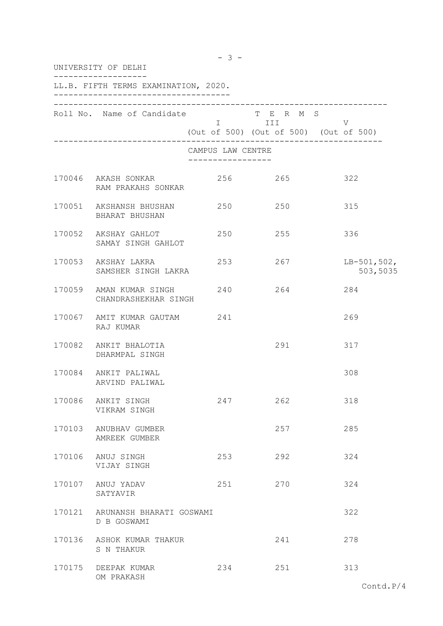| UNIVERSITY OF DELHI                                 |                                      |                                                                     |                           |
|-----------------------------------------------------|--------------------------------------|---------------------------------------------------------------------|---------------------------|
| LL.B. FIFTH TERMS EXAMINATION, 2020.                |                                      |                                                                     |                           |
| Roll No. Name of Candidate                          |                                      | T E R M S<br><b>I</b> III<br>(Out of 500) (Out of 500) (Out of 500) | V                         |
|                                                     | CAMPUS LAW CENTRE<br>_______________ |                                                                     |                           |
| 170046 AKASH SONKAR<br>RAM PRAKAHS SONKAR           |                                      | 256 265                                                             | 322                       |
| 170051 AKSHANSH BHUSHAN<br>BHARAT BHUSHAN           | 250                                  | 250                                                                 | 315                       |
| 170052 AKSHAY GAHLOT<br>SAMAY SINGH GAHLOT          | 250                                  | 255                                                                 | 336                       |
| 170053 AKSHAY LAKRA<br>SAMSHER SINGH LAKRA          | 253                                  | 267                                                                 | $LB-501,502,$<br>503,5035 |
| 170059 AMAN KUMAR SINGH 240<br>CHANDRASHEKHAR SINGH |                                      | 264                                                                 | 284                       |
| 170067 AMIT KUMAR GAUTAM 241<br>RAJ KUMAR           |                                      |                                                                     | 269                       |
| 170082 ANKIT BHALOTIA<br>DHARMPAL SINGH             |                                      | 291                                                                 | 317                       |
| 170084 ANKIT PALIWAL<br>ARVIND PALIWAL              |                                      |                                                                     | 308                       |
| 170086 ANKIT SINGH<br>VIKRAM SINGH                  | 247                                  | 262                                                                 | 318                       |
| 170103 ANUBHAV GUMBER<br>AMREEK GUMBER              |                                      | 257                                                                 | 285                       |
| 170106 ANUJ SINGH<br>VIJAY SINGH                    | 253                                  | 292                                                                 | 324                       |
| 170107 ANUJ YADAV<br>SATYAVIR                       | 251                                  | 270                                                                 | 324                       |
| 170121 ARUNANSH BHARATI GOSWAMI<br>D B GOSWAMI      |                                      |                                                                     | 322                       |
| 170136 ASHOK KUMAR THAKUR<br>S N THAKUR             |                                      | 241                                                                 | 278                       |
| 170175 DEEPAK KUMAR<br>OM PRAKASH                   | 234                                  | 251                                                                 | 313                       |

 $- 3 -$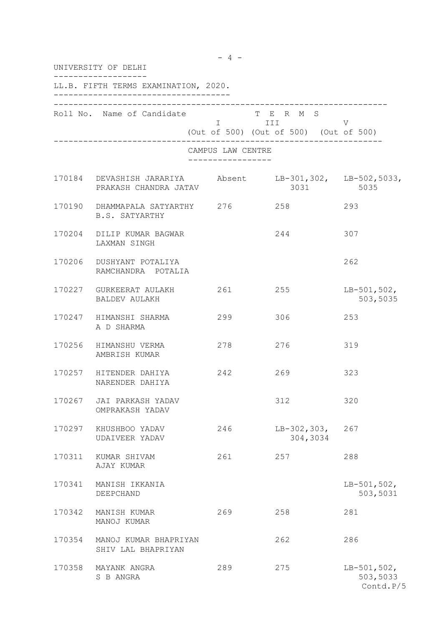| UNIVERSITY OF DELHI |                                                                                    |                   |                                                                |                                        |  |  |
|---------------------|------------------------------------------------------------------------------------|-------------------|----------------------------------------------------------------|----------------------------------------|--|--|
|                     | LL.B. FIFTH TERMS EXAMINATION, 2020.<br>-------------------------------------      |                   |                                                                |                                        |  |  |
|                     | Roll No. Name of Candidate                                                         |                   | T E R M S<br>I III V<br>(Out of 500) (Out of 500) (Out of 500) |                                        |  |  |
|                     |                                                                                    | CAMPUS LAW CENTRE |                                                                |                                        |  |  |
|                     | 170184 DEVASHISH JARARIYA Absent LB-301,302, LB-502,5033,<br>PRAKASH CHANDRA JATAV |                   |                                                                | 3031 5035                              |  |  |
|                     | 170190 DHAMMAPALA SATYARTHY 276 258 293<br>B.S. SATYARTHY                          |                   |                                                                |                                        |  |  |
| 170204              | DILIP KUMAR BAGWAR<br>LAXMAN SINGH                                                 |                   | 244                                                            | 307                                    |  |  |
| 170206              | DUSHYANT POTALIYA<br>RAMCHANDRA POTALIA                                            |                   |                                                                | 262                                    |  |  |
|                     | 170227 GURKEERAT AULAKH<br>BALDEV AULAKH                                           | 261 255           |                                                                | $LB-501,502,$<br>503,5035              |  |  |
|                     | 170247 HIMANSHI SHARMA<br>A D SHARMA                                               | 299               | 306                                                            | 253                                    |  |  |
| 170256              | HIMANSHU VERMA<br>AMBRISH KUMAR                                                    | 278               | 276                                                            | 319                                    |  |  |
|                     | 170257 HITENDER DAHIYA<br>NARENDER DAHIYA                                          | 242               | 269                                                            | 323                                    |  |  |
| 170267              | JAI PARKASH YADAV<br>OMPRAKASH YADAV                                               |                   | 312                                                            | 320                                    |  |  |
| 170297              | KHUSHBOO YADAV<br>UDAIVEER YADAV                                                   | 246               | $LB-302,303,$<br>304,3034                                      | 267                                    |  |  |
| 170311              | KUMAR SHIVAM<br>AJAY KUMAR                                                         | 261               | 257                                                            | 288                                    |  |  |
| 170341              | MANISH IKKANIA<br>DEEPCHAND                                                        |                   |                                                                | $LB-501,502,$<br>503,5031              |  |  |
| 170342              | MANISH KUMAR<br>MANOJ KUMAR                                                        | 269               | 258                                                            | 281                                    |  |  |
| 170354              | MANOJ KUMAR BHAPRIYAN<br>SHIV LAL BHAPRIYAN                                        |                   | 262                                                            | 286                                    |  |  |
| 170358              | MAYANK ANGRA<br>S B ANGRA                                                          | 289               | 275                                                            | $LB-501,502,$<br>503,5033<br>Contd.P/5 |  |  |

- 4 -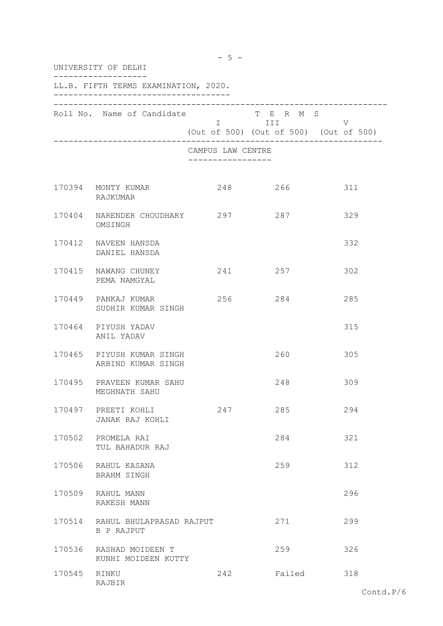| UNIVERSITY OF DELHI |                                                      |                   |                                                                |     |  |
|---------------------|------------------------------------------------------|-------------------|----------------------------------------------------------------|-----|--|
|                     | LL.B. FIFTH TERMS EXAMINATION, 2020.                 |                   |                                                                |     |  |
|                     | Roll No. Name of Candidate                           |                   | T E R M S<br>I III V<br>(Out of 500) (Out of 500) (Out of 500) |     |  |
|                     |                                                      | CAMPUS LAW CENTRE |                                                                |     |  |
|                     | 170394 MONTY KUMAR<br>RAJKUMAR                       |                   | 248 266                                                        | 311 |  |
|                     | 170404 NARENDER CHOUDHARY 297 287<br>OMSINGH         |                   |                                                                | 329 |  |
|                     | 170412 NAVEEN HANSDA<br>DANIEL HANSDA                |                   |                                                                | 332 |  |
|                     | 170415 NAWANG CHUNEY<br>PEMA NAMGYAL                 |                   | 241 257                                                        | 302 |  |
|                     | 170449 PANKAJ KUMAR<br>SUDHIR KUMAR SINGH            | 256               | 284                                                            | 285 |  |
|                     | 170464 PIYUSH YADAV<br>ANIL YADAV                    |                   |                                                                | 315 |  |
|                     | 170465 PIYUSH KUMAR SINGH<br>ARBIND KUMAR SINGH      |                   | 260                                                            | 305 |  |
|                     | 170495 PRAVEEN KUMAR SAHU<br>MEGHNATH SAHU           |                   | 248                                                            | 309 |  |
|                     | 170497 PREETI KOHLI<br>JANAK RAJ KOHLI               | 247               | 285                                                            | 294 |  |
|                     | 170502 PROMELA RAI<br>TUL BAHADUR RAJ                |                   | 284                                                            | 321 |  |
|                     | 170506 RAHUL KASANA<br>BRAHM SINGH                   |                   | 259                                                            | 312 |  |
|                     | 170509 RAHUL MANN<br>RAKESH MANN                     |                   |                                                                | 296 |  |
|                     | 170514 RAHUL BHULAPRASAD RAJPUT<br><b>B P RAJPUT</b> |                   | 271                                                            | 299 |  |
|                     | 170536 RASHAD MOIDEEN T<br>KUNHI MOIDEEN KUTTY       |                   | 259                                                            | 326 |  |
| 170545 RINKU        | RAJBIR                                               | 242               | Failed                                                         | 318 |  |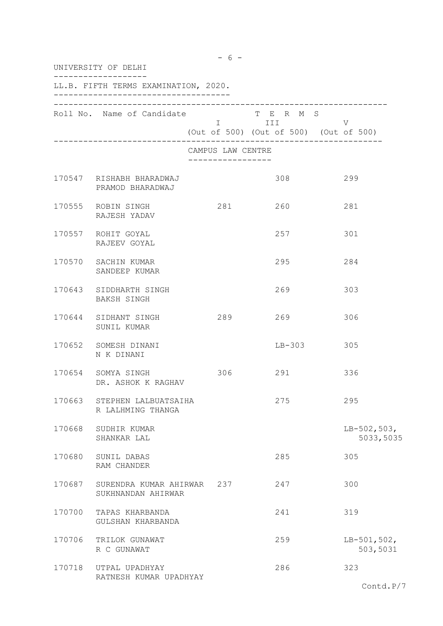| UNIVERSITY OF DELHI |                                                         |                                                                                                                                                                                                                                                                                                  |                                                                                                                                                                        |                            |  |  |
|---------------------|---------------------------------------------------------|--------------------------------------------------------------------------------------------------------------------------------------------------------------------------------------------------------------------------------------------------------------------------------------------------|------------------------------------------------------------------------------------------------------------------------------------------------------------------------|----------------------------|--|--|
|                     | LL.B. FIFTH TERMS EXAMINATION, 2020.                    |                                                                                                                                                                                                                                                                                                  |                                                                                                                                                                        |                            |  |  |
|                     | Roll No. Name of Candidate                              | $\mathbb{I}$ and $\mathbb{I}$ and $\mathbb{I}$ and $\mathbb{I}$ and $\mathbb{I}$ and $\mathbb{I}$ and $\mathbb{I}$ and $\mathbb{I}$ and $\mathbb{I}$ and $\mathbb{I}$ and $\mathbb{I}$ and $\mathbb{I}$ and $\mathbb{I}$ and $\mathbb{I}$ and $\mathbb{I}$ and $\mathbb{I}$ and $\mathbb{I}$ and | T E R M S<br>III and a structure of the structure of the structure of the structure of the structure of the structure of the<br>(Out of 500) (Out of 500) (Out of 500) | V                          |  |  |
|                     |                                                         | CAMPUS LAW CENTRE                                                                                                                                                                                                                                                                                |                                                                                                                                                                        |                            |  |  |
|                     | 170547 RISHABH BHARADWAJ<br>PRAMOD BHARADWAJ            |                                                                                                                                                                                                                                                                                                  | 308                                                                                                                                                                    | 299                        |  |  |
|                     | 170555 ROBIN SINGH<br>RAJESH YADAV                      | 281                                                                                                                                                                                                                                                                                              | 260                                                                                                                                                                    | 281                        |  |  |
|                     | 170557 ROHIT GOYAL<br>RAJEEV GOYAL                      |                                                                                                                                                                                                                                                                                                  | 257                                                                                                                                                                    | 301                        |  |  |
|                     | 170570 SACHIN KUMAR<br>SANDEEP KUMAR                    |                                                                                                                                                                                                                                                                                                  | 295                                                                                                                                                                    | 284                        |  |  |
|                     | 170643 SIDDHARTH SINGH<br>BAKSH SINGH                   |                                                                                                                                                                                                                                                                                                  | 269                                                                                                                                                                    | 303                        |  |  |
|                     | 170644 SIDHANT SINGH<br>SUNIL KUMAR                     | 289                                                                                                                                                                                                                                                                                              | 269                                                                                                                                                                    | 306                        |  |  |
|                     | 170652 SOMESH DINANI<br>N K DINANI                      |                                                                                                                                                                                                                                                                                                  | $LB-303$                                                                                                                                                               | 305                        |  |  |
|                     | 170654 SOMYA SINGH<br>DR. ASHOK K RAGHAV                | 306                                                                                                                                                                                                                                                                                              | 291                                                                                                                                                                    | 336                        |  |  |
| 170663              | STEPHEN LALBUATSAIHA<br>R LALHMING THANGA               |                                                                                                                                                                                                                                                                                                  | 275                                                                                                                                                                    | 295                        |  |  |
|                     | 170668 SUDHIR KUMAR<br>SHANKAR LAL                      |                                                                                                                                                                                                                                                                                                  |                                                                                                                                                                        | $LB-502,503,$<br>5033,5035 |  |  |
|                     | 170680 SUNIL DABAS<br>RAM CHANDER                       |                                                                                                                                                                                                                                                                                                  | 285                                                                                                                                                                    | 305                        |  |  |
|                     | 170687 SURENDRA KUMAR AHIRWAR 237<br>SUKHNANDAN AHIRWAR |                                                                                                                                                                                                                                                                                                  | 247                                                                                                                                                                    | 300                        |  |  |
| 170700              | TAPAS KHARBANDA<br>GULSHAN KHARBANDA                    |                                                                                                                                                                                                                                                                                                  | 241                                                                                                                                                                    | 319                        |  |  |
| 170706              | TRILOK GUNAWAT<br>R C GUNAWAT                           |                                                                                                                                                                                                                                                                                                  | 259                                                                                                                                                                    | $LB-501,502,$<br>503,5031  |  |  |
|                     | 170718 UTPAL UPADHYAY<br>RATNESH KUMAR UPADHYAY         |                                                                                                                                                                                                                                                                                                  | 286                                                                                                                                                                    | 323                        |  |  |

# $- 6 -$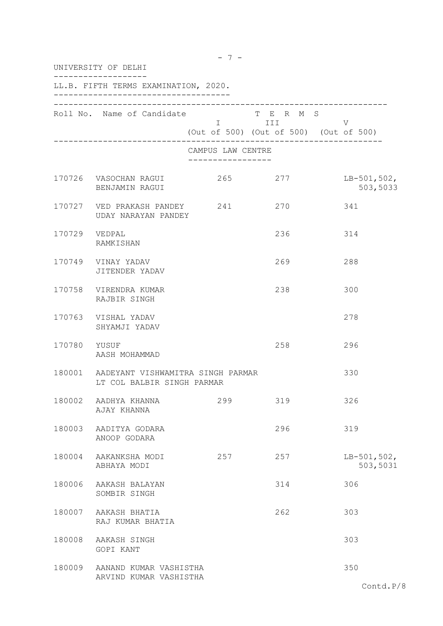|               | UNIVERSITY OF DELHI                                                    |                   |                                                                 |                           |
|---------------|------------------------------------------------------------------------|-------------------|-----------------------------------------------------------------|---------------------------|
|               | LL.B. FIFTH TERMS EXAMINATION, 2020.                                   |                   |                                                                 |                           |
|               | Roll No. Name of Candidate                                             |                   | T E R M S<br>I III DA<br>(Out of 500) (Out of 500) (Out of 500) | V                         |
|               |                                                                        | CAMPUS LAW CENTRE |                                                                 |                           |
|               | 170726 VASOCHAN RAGUI<br>BENJAMIN RAGUI                                | 265               | 277                                                             | $LB-501,502,$<br>503,5033 |
|               | 170727 VED PRAKASH PANDEY 241<br>UDAY NARAYAN PANDEY                   |                   | 270                                                             | 341                       |
| 170729 VEDPAL | RAMKISHAN                                                              |                   | 236                                                             | 314                       |
|               | 170749 VINAY YADAV<br>JITENDER YADAV                                   |                   | 269                                                             | 288                       |
|               | 170758 VIRENDRA KUMAR<br>RAJBIR SINGH                                  |                   | 238                                                             | 300                       |
|               | 170763 VISHAL YADAV<br>SHYAMJI YADAV                                   |                   |                                                                 | 278                       |
| 170780 YUSUF  | AASH MOHAMMAD                                                          |                   | 258                                                             | 296                       |
|               | 180001 AADEYANT VISHWAMITRA SINGH PARMAR<br>LT COL BALBIR SINGH PARMAR |                   |                                                                 | 330                       |
| 180002        | AADHYA KHANNA<br>AJAY KHANNA                                           | 299               | 319                                                             | 326                       |
| 180003        | AADITYA GODARA<br>ANOOP GODARA                                         |                   | 296                                                             | 319                       |
| 180004        | AAKANKSHA MODI<br>ABHAYA MODI                                          | 257               | 257                                                             | $LB-501,502,$<br>503,5031 |
| 180006        | AAKASH BALAYAN<br>SOMBIR SINGH                                         |                   | 314                                                             | 306                       |
| 180007        | AAKASH BHATIA<br>RAJ KUMAR BHATIA                                      |                   | 262                                                             | 303                       |
| 180008        | AAKASH SINGH<br>GOPI KANT                                              |                   |                                                                 | 303                       |
| 180009        | AANAND KUMAR VASHISTHA<br>ARVIND KUMAR VASHISTHA                       |                   |                                                                 | 350                       |

 $- 7 -$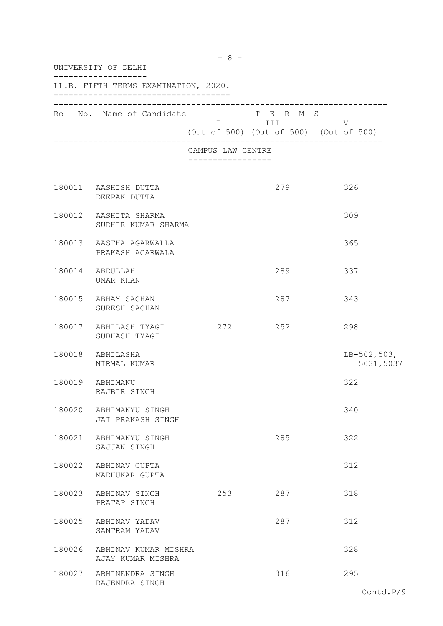| UNIVERSITY OF DELHI |                                              |                   |                                                              |                            |  |  |  |
|---------------------|----------------------------------------------|-------------------|--------------------------------------------------------------|----------------------------|--|--|--|
|                     | LL.B. FIFTH TERMS EXAMINATION, 2020.         |                   |                                                              |                            |  |  |  |
|                     | Roll No. Name of Candidate                   |                   | T E R M S<br>I III<br>(Out of 500) (Out of 500) (Out of 500) | V                          |  |  |  |
|                     |                                              | CAMPUS LAW CENTRE |                                                              |                            |  |  |  |
|                     | 180011 AASHISH DUTTA<br>DEEPAK DUTTA         |                   | 279                                                          | 326                        |  |  |  |
|                     | 180012 AASHITA SHARMA<br>SUDHIR KUMAR SHARMA |                   |                                                              | 309                        |  |  |  |
|                     | 180013 AASTHA AGARWALLA<br>PRAKASH AGARWALA  |                   |                                                              | 365                        |  |  |  |
|                     | 180014 ABDULLAH<br>UMAR KHAN                 |                   | 289                                                          | 337                        |  |  |  |
|                     | 180015 ABHAY SACHAN<br>SURESH SACHAN         |                   | 287                                                          | 343                        |  |  |  |
|                     | 180017 ABHILASH TYAGI<br>SUBHASH TYAGI       | 272               | 252                                                          | 298                        |  |  |  |
|                     | 180018 ABHILASHA<br>NIRMAL KUMAR             |                   |                                                              | $LB-502,503,$<br>5031,5037 |  |  |  |
|                     | 180019 ABHIMANU<br>RAJBIR SINGH              |                   |                                                              | 322                        |  |  |  |
| 180020              | ABHIMANYU SINGH<br>JAI PRAKASH SINGH         |                   |                                                              | 340                        |  |  |  |
| 180021              | ABHIMANYU SINGH<br>SAJJAN SINGH              |                   | 285                                                          | 322                        |  |  |  |
|                     | 180022 ABHINAV GUPTA<br>MADHUKAR GUPTA       |                   |                                                              | 312                        |  |  |  |
|                     | 180023 ABHINAV SINGH<br>PRATAP SINGH         | 253               | 287                                                          | 318                        |  |  |  |
|                     | 180025 ABHINAV YADAV<br>SANTRAM YADAV        |                   | 287                                                          | 312                        |  |  |  |
| 180026              | ABHINAV KUMAR MISHRA<br>AJAY KUMAR MISHRA    |                   |                                                              | 328                        |  |  |  |
|                     | 180027 ABHINENDRA SINGH<br>RAJENDRA SINGH    |                   | 316                                                          | 295                        |  |  |  |

 $- 8 -$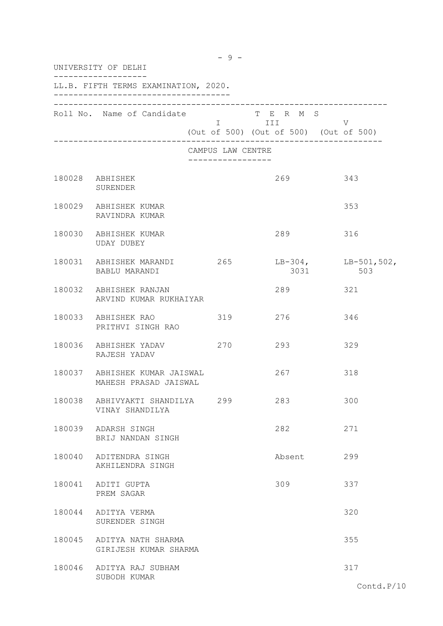| UNIVERSITY OF DELHI |                                                        |                   |                                                              |                                |  |
|---------------------|--------------------------------------------------------|-------------------|--------------------------------------------------------------|--------------------------------|--|
|                     | LL.B. FIFTH TERMS EXAMINATION, 2020.                   |                   |                                                              |                                |  |
|                     | Roll No. Name of Candidate                             |                   | T E R M S<br>I III<br>(Out of 500) (Out of 500) (Out of 500) | V                              |  |
|                     |                                                        | CAMPUS LAW CENTRE |                                                              |                                |  |
|                     | 180028 ABHISHEK<br>SURENDER                            |                   | 269                                                          | 343                            |  |
|                     | 180029 ABHISHEK KUMAR<br>RAVINDRA KUMAR                |                   |                                                              | 353                            |  |
|                     | 180030 ABHISHEK KUMAR<br>UDAY DUBEY                    |                   | 289                                                          | 316                            |  |
|                     | 180031 ABHISHEK MARANDI 265<br>BABLU MARANDI           |                   | 3031                                                         | $LB-304,$ $LB-501,502,$<br>503 |  |
|                     | 180032 ABHISHEK RANJAN<br>ARVIND KUMAR RUKHAIYAR       |                   | 289                                                          | 321                            |  |
|                     | 180033 ABHISHEK RAO<br>PRITHVI SINGH RAO               | 319               | 276                                                          | 346                            |  |
|                     | 180036 ABHISHEK YADAV<br>RAJESH YADAV                  | 270               | 293                                                          | 329                            |  |
|                     | 180037 ABHISHEK KUMAR JAISWAL<br>MAHESH PRASAD JAISWAL |                   | 267                                                          | 318                            |  |
| 180038              | ABHIVYAKTI SHANDILYA<br>VINAY SHANDILYA                | 299               | 283                                                          | 300                            |  |
|                     | 180039 ADARSH SINGH<br>BRIJ NANDAN SINGH               |                   | 282                                                          | 271                            |  |
|                     | 180040 ADITENDRA SINGH<br>AKHILENDRA SINGH             |                   | Absent                                                       | 299                            |  |
| 180041              | ADITI GUPTA<br>PREM SAGAR                              |                   | 309                                                          | 337                            |  |
| 180044              | ADITYA VERMA<br>SURENDER SINGH                         |                   |                                                              | 320                            |  |
| 180045              | ADITYA NATH SHARMA<br>GIRIJESH KUMAR SHARMA            |                   |                                                              | 355                            |  |
|                     | 180046 ADITYA RAJ SUBHAM<br>SUBODH KUMAR               |                   |                                                              | 317                            |  |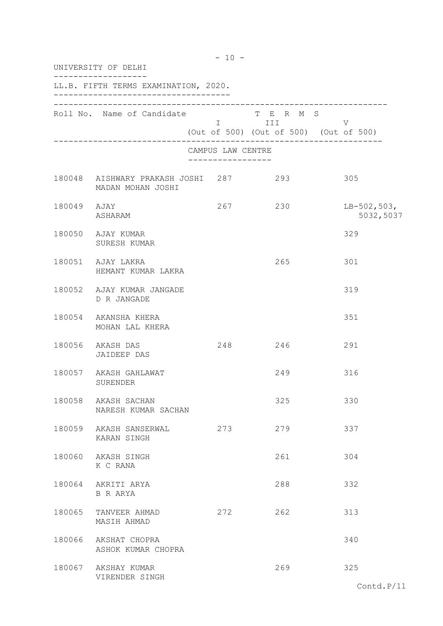| UNIVERSITY OF DELHI |                                                            |                                   |                                                                                                                                                                                                                                                                                         |                                |  |  |  |
|---------------------|------------------------------------------------------------|-----------------------------------|-----------------------------------------------------------------------------------------------------------------------------------------------------------------------------------------------------------------------------------------------------------------------------------------|--------------------------------|--|--|--|
|                     | LL.B. FIFTH TERMS EXAMINATION, 2020.                       |                                   |                                                                                                                                                                                                                                                                                         |                                |  |  |  |
|                     | Roll No. Name of Candidate                                 |                                   | T E R M S<br>I III DA SANTA DE LA CATALLA DE LA CATALLA DE LA CATALLA DE LA CATALLA DE LA CATALLA DE LA CATALLA DE LA CATAL<br>DE LA CATALLA DE LA CATALLA DE LA CATALLA DE LA CATALLA DE LA CATALLA DE LA CATALLA DE LA CATALLA DE LA CATALL<br>(Out of 500) (Out of 500) (Out of 500) | V                              |  |  |  |
|                     |                                                            | CAMPUS LAW CENTRE<br>------------ | ------------------------------------                                                                                                                                                                                                                                                    |                                |  |  |  |
|                     | 180048 AISHWARY PRAKASH JOSHI 287 293<br>MADAN MOHAN JOSHI |                                   |                                                                                                                                                                                                                                                                                         | 305                            |  |  |  |
| 180049 AJAY         | ASHARAM                                                    |                                   | 267 230                                                                                                                                                                                                                                                                                 | $LB-502,503,$<br>5032,5037     |  |  |  |
|                     | 180050 AJAY KUMAR<br>SURESH KUMAR                          |                                   |                                                                                                                                                                                                                                                                                         | 329                            |  |  |  |
|                     | 180051 AJAY LAKRA<br>HEMANT KUMAR LAKRA                    |                                   | 265                                                                                                                                                                                                                                                                                     | 301                            |  |  |  |
|                     | 180052 AJAY KUMAR JANGADE<br>D R JANGADE                   |                                   |                                                                                                                                                                                                                                                                                         | 319                            |  |  |  |
|                     | 180054 AKANSHA KHERA<br>MOHAN LAL KHERA                    |                                   |                                                                                                                                                                                                                                                                                         | 351                            |  |  |  |
|                     | 180056 AKASH DAS<br>JAIDEEP DAS                            |                                   | 248 246                                                                                                                                                                                                                                                                                 | 291                            |  |  |  |
|                     | 180057 AKASH GAHLAWAT<br>SURENDER                          |                                   | 249                                                                                                                                                                                                                                                                                     | 316                            |  |  |  |
|                     | 180058 AKASH SACHAN<br>NARESH KUMAR SACHAN                 |                                   | 325                                                                                                                                                                                                                                                                                     | 330                            |  |  |  |
|                     | 180059 AKASH SANSERWAL<br>KARAN SINGH                      | 273                               | 279                                                                                                                                                                                                                                                                                     | 337                            |  |  |  |
|                     | 180060 AKASH SINGH<br>K C RANA                             |                                   | 261                                                                                                                                                                                                                                                                                     | 304                            |  |  |  |
|                     | 180064 AKRITI ARYA<br>B R ARYA                             |                                   | 288                                                                                                                                                                                                                                                                                     | 332                            |  |  |  |
|                     | 180065 TANVEER AHMAD<br>MASIH AHMAD                        | 272                               | 262                                                                                                                                                                                                                                                                                     | 313                            |  |  |  |
| 180066              | AKSHAT CHOPRA<br>ASHOK KUMAR CHOPRA                        |                                   |                                                                                                                                                                                                                                                                                         | 340                            |  |  |  |
|                     | 180067 AKSHAY KUMAR<br>VIRENDER SINGH                      |                                   | 269                                                                                                                                                                                                                                                                                     | 325<br>$C \cap H \cap H$ $D/1$ |  |  |  |

- 10 -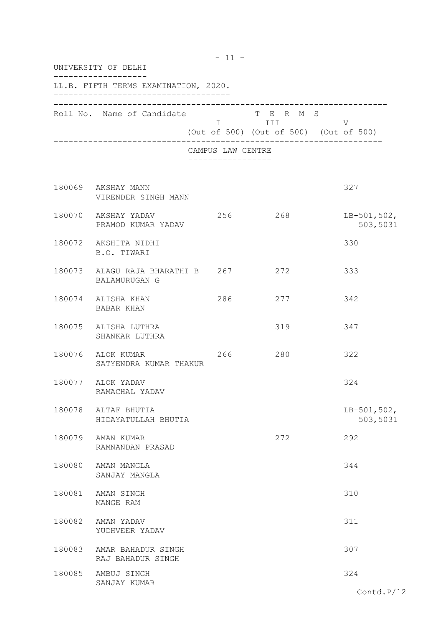| UNIVERSITY OF DELHI |                                                       |  |                                                      |                                                              |                           |
|---------------------|-------------------------------------------------------|--|------------------------------------------------------|--------------------------------------------------------------|---------------------------|
|                     | LL.B. FIFTH TERMS EXAMINATION, 2020.                  |  |                                                      |                                                              |                           |
|                     | Roll No. Name of Candidate                            |  |                                                      | T E R M S<br>I III<br>(Out of 500) (Out of 500) (Out of 500) | $\mathbf{V}$              |
|                     |                                                       |  | CAMPUS LAW CENTRE<br>. _ _ _ _ _ _ _ _ _ _ _ _ _ _ _ |                                                              |                           |
|                     | 180069 AKSHAY MANN<br>VIRENDER SINGH MANN             |  |                                                      |                                                              | 327                       |
|                     | 180070 AKSHAY YADAV<br>PRAMOD KUMAR YADAV             |  |                                                      | 256 268                                                      | $LB-501,502,$<br>503,5031 |
|                     | 180072 AKSHITA NIDHI<br>B.O. TIWARI                   |  |                                                      |                                                              | 330                       |
|                     | 180073 ALAGU RAJA BHARATHI B 267 272<br>BALAMURUGAN G |  |                                                      |                                                              | 333                       |
|                     | 180074 ALISHA KHAN<br>BABAR KHAN                      |  | 286                                                  | 277                                                          | 342                       |
|                     | 180075 ALISHA LUTHRA<br>SHANKAR LUTHRA                |  |                                                      | 319                                                          | 347                       |
|                     | 180076 ALOK KUMAR<br>SATYENDRA KUMAR THAKUR           |  | 266                                                  | 280                                                          | 322                       |
|                     | 180077 ALOK YADAV<br>RAMACHAL YADAV                   |  |                                                      |                                                              | 324                       |
|                     | 180078 ALTAF BHUTIA<br>HIDAYATULLAH BHUTIA            |  |                                                      |                                                              | $LB-501,502,$<br>503,5031 |
|                     | 180079 AMAN KUMAR<br>RAMNANDAN PRASAD                 |  |                                                      | 272                                                          | 292                       |
|                     | 180080 AMAN MANGLA<br>SANJAY MANGLA                   |  |                                                      |                                                              | 344                       |
| 180081              | AMAN SINGH<br>MANGE RAM                               |  |                                                      |                                                              | 310                       |
|                     | 180082 AMAN YADAV<br>YUDHVEER YADAV                   |  |                                                      |                                                              | 311                       |
|                     | 180083 AMAR BAHADUR SINGH<br>RAJ BAHADUR SINGH        |  |                                                      |                                                              | 307                       |
| 180085              | AMBUJ SINGH<br>SANJAY KUMAR                           |  |                                                      |                                                              | 324                       |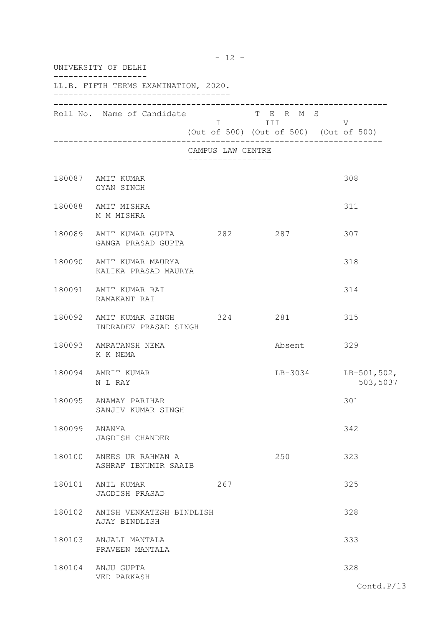|        | $-12 -$<br>UNIVERSITY OF DELHI                           |                                                      |                                                                                                |                                 |  |  |  |
|--------|----------------------------------------------------------|------------------------------------------------------|------------------------------------------------------------------------------------------------|---------------------------------|--|--|--|
|        | LL.B. FIFTH TERMS EXAMINATION, 2020.                     |                                                      |                                                                                                |                                 |  |  |  |
|        | Roll No. Name of Candidate                               |                                                      | T E R M S<br>$I = I \times H$ $V = V$<br>$V = III$ V<br>(Out of 500) (Out of 500) (Out of 500) |                                 |  |  |  |
|        |                                                          | CAMPUS LAW CENTRE<br>. _ _ _ _ _ _ _ _ _ _ _ _ _ _ _ |                                                                                                |                                 |  |  |  |
|        | 180087 AMIT KUMAR<br>GYAN SINGH                          |                                                      |                                                                                                | 308                             |  |  |  |
|        | 180088 AMIT MISHRA<br>M M MISHRA                         |                                                      |                                                                                                | 311                             |  |  |  |
|        | 180089 AMIT KUMAR GUPTA 282 287<br>GANGA PRASAD GUPTA    |                                                      |                                                                                                | 307                             |  |  |  |
|        | 180090 AMIT KUMAR MAURYA<br>KALIKA PRASAD MAURYA         |                                                      |                                                                                                | 318                             |  |  |  |
|        | 180091 AMIT KUMAR RAI<br>RAMAKANT RAI                    |                                                      |                                                                                                | 314                             |  |  |  |
|        | 180092 AMIT KUMAR SINGH 324 281<br>INDRADEV PRASAD SINGH |                                                      |                                                                                                | 315                             |  |  |  |
|        | 180093 AMRATANSH NEMA<br>K K NEMA                        |                                                      | Absent 329                                                                                     |                                 |  |  |  |
|        | 180094 AMRIT KUMAR<br>N L RAY                            |                                                      |                                                                                                | LB-3034 LB-501,502,<br>503,5037 |  |  |  |
|        | 180095 ANAMAY PARIHAR<br>SANJIV KUMAR SINGH              |                                                      |                                                                                                | 301                             |  |  |  |
| 180099 | ANANYA<br>JAGDISH CHANDER                                |                                                      |                                                                                                | 342                             |  |  |  |
| 180100 | ANEES UR RAHMAN A<br>ASHRAF IBNUMIR SAAIB                |                                                      | 250                                                                                            | 323                             |  |  |  |
|        | 180101 ANIL KUMAR<br>JAGDISH PRASAD                      | 267                                                  |                                                                                                | 325                             |  |  |  |
|        | 180102 ANISH VENKATESH BINDLISH<br>AJAY BINDLISH         |                                                      |                                                                                                | 328                             |  |  |  |
|        | 180103 ANJALI MANTALA<br>PRAVEEN MANTALA                 |                                                      |                                                                                                | 333                             |  |  |  |
|        | 180104 ANJU GUPTA<br>VED PARKASH                         |                                                      |                                                                                                | 328                             |  |  |  |
|        |                                                          |                                                      |                                                                                                | Contd. $P/13$                   |  |  |  |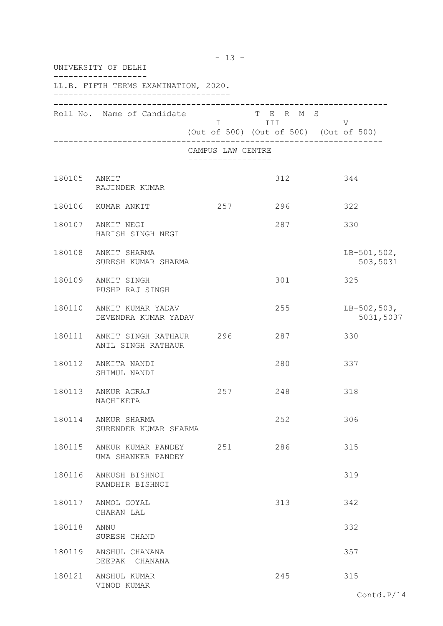|              | UNIVERSITY OF DELHI                                  |                   |                                                                                                                                                                        |                            |
|--------------|------------------------------------------------------|-------------------|------------------------------------------------------------------------------------------------------------------------------------------------------------------------|----------------------------|
|              | LL.B. FIFTH TERMS EXAMINATION, 2020.                 |                   |                                                                                                                                                                        |                            |
|              | Roll No. Name of Candidate                           |                   | T E R M S<br>i in the set of the set of the set of the set of the set of the set of the set of the set of the set of the set<br>(Out of 500) (Out of 500) (Out of 500) | V                          |
|              |                                                      | CAMPUS LAW CENTRE |                                                                                                                                                                        |                            |
| 180105 ANKIT | RAJINDER KUMAR                                       |                   | 312                                                                                                                                                                    | 344                        |
|              | 180106 KUMAR ANKIT                                   | 257               | 296                                                                                                                                                                    | 322                        |
|              | 180107 ANKIT NEGI<br>HARISH SINGH NEGI               |                   | 287                                                                                                                                                                    | 330                        |
|              | 180108 ANKIT SHARMA<br>SURESH KUMAR SHARMA           |                   |                                                                                                                                                                        | $LB-501,502,$<br>503,5031  |
|              | 180109 ANKIT SINGH<br>PUSHP RAJ SINGH                |                   | 301                                                                                                                                                                    | 325                        |
|              | 180110 ANKIT KUMAR YADAV<br>DEVENDRA KUMAR YADAV     |                   | 255                                                                                                                                                                    | $LB-502,503,$<br>5031,5037 |
|              | 180111 ANKIT SINGH RATHAUR 296<br>ANIL SINGH RATHAUR |                   | 287                                                                                                                                                                    | 330                        |
|              | 180112 ANKITA NANDI<br>SHIMUL NANDI                  |                   | 280                                                                                                                                                                    | 337                        |
|              | 180113 ANKUR AGRAJ<br>NACHIKETA                      | 257               | 248                                                                                                                                                                    | 318                        |
|              | 180114 ANKUR SHARMA<br>SURENDER KUMAR SHARMA         |                   | 252                                                                                                                                                                    | 306                        |
| 180115       | ANKUR KUMAR PANDEY 251<br>UMA SHANKER PANDEY         |                   | 286                                                                                                                                                                    | 315                        |
| 180116       | ANKUSH BISHNOI<br>RANDHIR BISHNOI                    |                   |                                                                                                                                                                        | 319                        |
| 180117       | ANMOL GOYAL<br>CHARAN LAL                            |                   | 313                                                                                                                                                                    | 342                        |
| 180118       | ANNU<br>SURESH CHAND                                 |                   |                                                                                                                                                                        | 332                        |
| 180119       | ANSHUL CHANANA<br>DEEPAK CHANANA                     |                   |                                                                                                                                                                        | 357                        |
|              | 180121 ANSHUL KUMAR<br>VINOD KUMAR                   |                   | 245                                                                                                                                                                    | 315                        |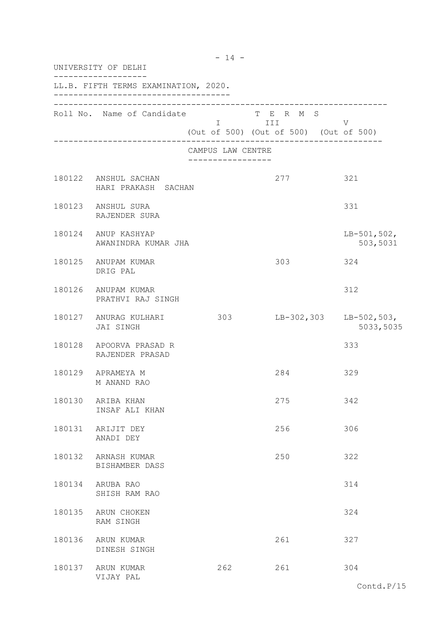|        | UNIVERSITY OF DELHI                         |                   |                                                                                                                                                                      |                                       |
|--------|---------------------------------------------|-------------------|----------------------------------------------------------------------------------------------------------------------------------------------------------------------|---------------------------------------|
|        | LL.B. FIFTH TERMS EXAMINATION, 2020.        |                   |                                                                                                                                                                      |                                       |
|        | Roll No. Name of Candidate                  |                   | T E R M S<br>I III DA SANTA DE LA CATALLA DE LA CATALLA DE LA CATALLA DE LA CATALLA DE LA CATALLA DE LA CATALLA DE LA CATA<br>(Out of 500) (Out of 500) (Out of 500) | V                                     |
|        |                                             | CAMPUS LAW CENTRE |                                                                                                                                                                      |                                       |
|        | 180122 ANSHUL SACHAN<br>HARI PRAKASH SACHAN |                   | 277                                                                                                                                                                  | 321                                   |
|        | 180123 ANSHUL SURA<br>RAJENDER SURA         |                   |                                                                                                                                                                      | 331                                   |
|        | 180124 ANUP KASHYAP<br>AWANINDRA KUMAR JHA  |                   |                                                                                                                                                                      | $LB-501,502,$<br>503,5031             |
|        | 180125 ANUPAM KUMAR<br>DRIG PAL             |                   | 303                                                                                                                                                                  | 324                                   |
|        | 180126 ANUPAM KUMAR<br>PRATHVI RAJ SINGH    |                   |                                                                                                                                                                      | 312                                   |
|        | 180127 ANURAG KULHARI<br>JAI SINGH          | 303 303           |                                                                                                                                                                      | LB-302, 303 LB-502, 503,<br>5033,5035 |
|        | 180128 APOORVA PRASAD R<br>RAJENDER PRASAD  |                   |                                                                                                                                                                      | 333                                   |
|        | 180129 APRAMEYA M<br>M ANAND RAO            |                   | 284                                                                                                                                                                  | 329                                   |
| 180130 | ARIBA KHAN<br>INSAF ALI KHAN                |                   | 275                                                                                                                                                                  | 342                                   |
|        | 180131 ARIJIT DEY<br>ANADI DEY              |                   | 256                                                                                                                                                                  | 306                                   |
|        | 180132 ARNASH KUMAR<br>BISHAMBER DASS       |                   | 250                                                                                                                                                                  | 322                                   |
|        | 180134 ARUBA RAO<br>SHISH RAM RAO           |                   |                                                                                                                                                                      | 314                                   |
| 180135 | ARUN CHOKEN<br>RAM SINGH                    |                   |                                                                                                                                                                      | 324                                   |
|        | 180136 ARUN KUMAR<br>DINESH SINGH           |                   | 261                                                                                                                                                                  | 327                                   |
|        | 180137 ARUN KUMAR<br>VIJAY PAL              | 262               | 261                                                                                                                                                                  | 304                                   |

- 14 -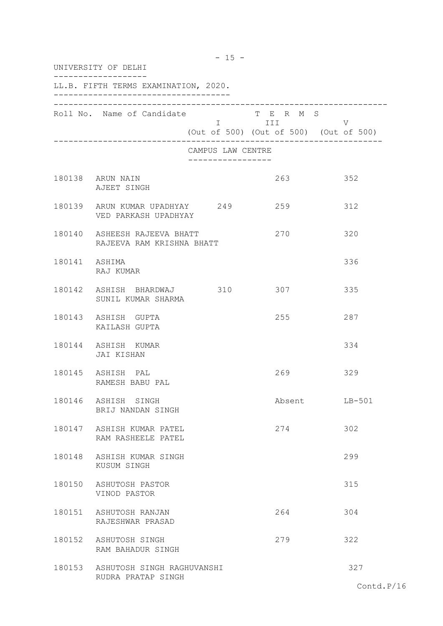|               | UNIVERSITY OF DELHI                                       |                                      |                                                                   |            |
|---------------|-----------------------------------------------------------|--------------------------------------|-------------------------------------------------------------------|------------|
|               | LL.B. FIFTH TERMS EXAMINATION, 2020.                      |                                      |                                                                   |            |
|               | Roll No. Name of Candidate                                |                                      | T E R M S<br>I III DATU<br>(Out of 500) (Out of 500) (Out of 500) | V          |
|               |                                                           | CAMPUS LAW CENTRE<br>_______________ |                                                                   |            |
|               | 180138 ARUN NAIN<br>AJEET SINGH                           |                                      | 263                                                               | 352        |
|               | 180139 ARUN KUMAR UPADHYAY 249<br>VED PARKASH UPADHYAY    |                                      | 259                                                               | 312        |
|               | 180140 ASHEESH RAJEEVA BHATT<br>RAJEEVA RAM KRISHNA BHATT |                                      | 270                                                               | 320        |
| 180141 ASHIMA | RAJ KUMAR                                                 |                                      |                                                                   | 336        |
|               | 180142 ASHISH BHARDWAJ 310 307<br>SUNIL KUMAR SHARMA      |                                      |                                                                   | 335        |
|               | 180143 ASHISH GUPTA<br>KAILASH GUPTA                      |                                      | 255                                                               | 287        |
|               | 180144 ASHISH KUMAR<br>JAI KISHAN                         |                                      |                                                                   | 334        |
|               | 180145 ASHISH PAL<br>RAMESH BABU PAL                      |                                      | 269                                                               | 329        |
| 180146        | ASHISH SINGH<br>BRIJ NANDAN SINGH                         |                                      | Absent                                                            | $LB-501$   |
|               | 180147 ASHISH KUMAR PATEL<br>RAM RASHEELE PATEL           |                                      | 274                                                               | 302        |
| 180148        | ASHISH KUMAR SINGH<br>KUSUM SINGH                         |                                      |                                                                   | 299        |
|               | 180150 ASHUTOSH PASTOR<br>VINOD PASTOR                    |                                      |                                                                   | 315        |
|               | 180151 ASHUTOSH RANJAN<br>RAJESHWAR PRASAD                |                                      | 264                                                               | 304        |
|               | 180152 ASHUTOSH SINGH<br>RAM BAHADUR SINGH                |                                      | 279                                                               | 322        |
|               | 180153 ASHUTOSH SINGH RAGHUVANSHI                         |                                      |                                                                   | 327        |
|               | RUDRA PRATAP SINGH                                        |                                      |                                                                   | Contd.P/16 |

 $- 15 -$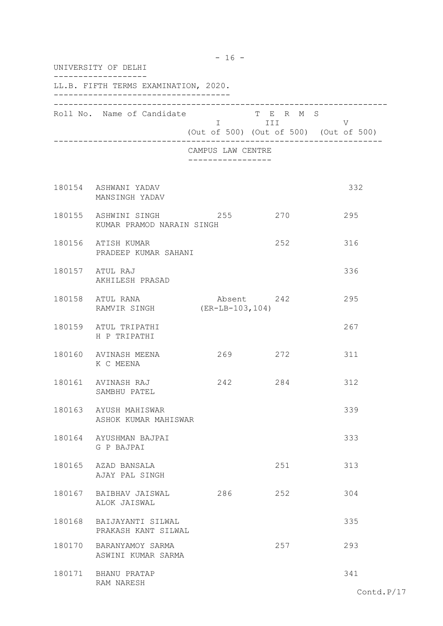| UNIVERSITY OF DELHI |                                                           |                                                             |                      |                                        |  |  |  |
|---------------------|-----------------------------------------------------------|-------------------------------------------------------------|----------------------|----------------------------------------|--|--|--|
|                     | LL.B. FIFTH TERMS EXAMINATION, 2020.                      |                                                             |                      |                                        |  |  |  |
|                     | Roll No. Name of Candidate                                |                                                             | T E R M S<br>I III V | (Out of 500) (Out of 500) (Out of 500) |  |  |  |
|                     |                                                           | CAMPUS LAW CENTRE<br>. <u>_ _ _ _ _ _ _ _ _ _ _ _ _ _ _</u> |                      |                                        |  |  |  |
|                     | 180154 ASHWANI YADAV<br>MANSINGH YADAV                    |                                                             |                      | 332                                    |  |  |  |
|                     | 180155 ASHWINI SINGH 255 270<br>KUMAR PRAMOD NARAIN SINGH |                                                             |                      | 295                                    |  |  |  |
|                     | 180156 ATISH KUMAR<br>PRADEEP KUMAR SAHANI                |                                                             | 252                  | 316                                    |  |  |  |
|                     | 180157 ATUL RAJ<br>AKHILESH PRASAD                        |                                                             |                      | 336                                    |  |  |  |
|                     | 180158 ATUL RANA<br>RAMVIR SINGH (ER-LB-103,104)          | Absent 242                                                  |                      | 295                                    |  |  |  |
|                     | 180159 ATUL TRIPATHI<br>H P TRIPATHI                      |                                                             |                      | 267                                    |  |  |  |
|                     | 180160 AVINASH MEENA<br>K C MEENA                         | 269 272                                                     |                      | 311                                    |  |  |  |
|                     | 180161 AVINASH RAJ<br>SAMBHU PATEL                        | 242                                                         | 284                  | 312                                    |  |  |  |
|                     | 180163 AYUSH MAHISWAR<br>ASHOK KUMAR MAHISWAR             |                                                             |                      | 339                                    |  |  |  |
|                     | 180164 AYUSHMAN BAJPAI<br>G P BAJPAI                      |                                                             |                      | 333                                    |  |  |  |
|                     | 180165 AZAD BANSALA<br>AJAY PAL SINGH                     |                                                             | 251                  | 313                                    |  |  |  |
|                     | 180167 BAIBHAV JAISWAL<br>ALOK JAISWAL                    | 286                                                         | 252                  | 304                                    |  |  |  |
|                     | 180168 BAIJAYANTI SILWAL<br>PRAKASH KANT SILWAL           |                                                             |                      | 335                                    |  |  |  |
|                     | 180170 BARANYAMOY SARMA<br>ASWINI KUMAR SARMA             |                                                             | 257                  | 293                                    |  |  |  |
|                     | 180171 BHANU PRATAP<br>RAM NARESH                         |                                                             |                      | 341                                    |  |  |  |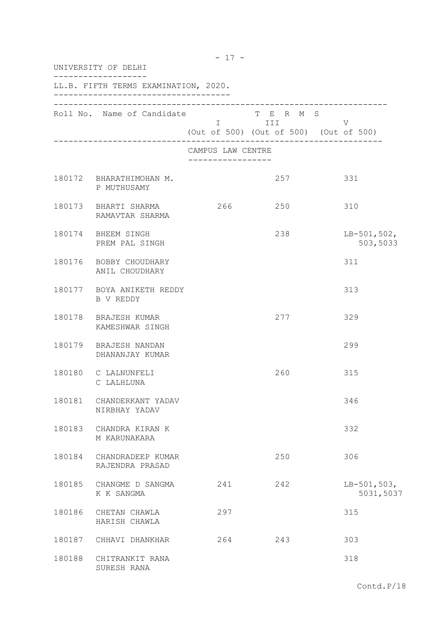| UNIVERSITY OF DELHI |                                                                                |                   |                                                                                                                                                                       |                            |  |  |  |  |
|---------------------|--------------------------------------------------------------------------------|-------------------|-----------------------------------------------------------------------------------------------------------------------------------------------------------------------|----------------------------|--|--|--|--|
|                     | LL.B. FIFTH TERMS EXAMINATION, 2020.<br>-------------------------------------- |                   |                                                                                                                                                                       |                            |  |  |  |  |
|                     | Roll No. Name of Candidate                                                     |                   | T E R M S<br>I III DA SANTA SE DE LA CATALLA DE LA CATALLA DE LA CATALLA DE LA CATALLA DE LA CATALLA DE LA CATALLA DE LA CA<br>(Out of 500) (Out of 500) (Out of 500) | V                          |  |  |  |  |
|                     |                                                                                | CAMPUS LAW CENTRE |                                                                                                                                                                       |                            |  |  |  |  |
|                     | 180172 BHARATHIMOHAN M.<br>P MUTHUSAMY                                         |                   | 257                                                                                                                                                                   | 331                        |  |  |  |  |
|                     | 180173 BHARTI SHARMA<br>RAMAVTAR SHARMA                                        | 266               | 250                                                                                                                                                                   | 310                        |  |  |  |  |
|                     | 180174 BHEEM SINGH<br>PREM PAL SINGH                                           |                   | 238                                                                                                                                                                   | $LB-501,502,$<br>503,5033  |  |  |  |  |
|                     | 180176 BOBBY CHOUDHARY<br>ANIL CHOUDHARY                                       |                   |                                                                                                                                                                       | 311                        |  |  |  |  |
|                     | 180177 BOYA ANIKETH REDDY<br>B V REDDY                                         |                   |                                                                                                                                                                       | 313                        |  |  |  |  |
|                     | 180178 BRAJESH KUMAR<br>KAMESHWAR SINGH                                        |                   | 277                                                                                                                                                                   | 329                        |  |  |  |  |
|                     | 180179 BRAJESH NANDAN<br>DHANANJAY KUMAR                                       |                   |                                                                                                                                                                       | 299                        |  |  |  |  |
|                     | 180180 C LALNUNFELI<br>C LALHLUNA                                              |                   | 260                                                                                                                                                                   | 315                        |  |  |  |  |
|                     | 180181 CHANDERKANT YADAV<br>NIRBHAY YADAV                                      |                   |                                                                                                                                                                       | 346                        |  |  |  |  |
|                     | 180183 CHANDRA KIRAN K<br>M KARUNAKARA                                         |                   |                                                                                                                                                                       | 332                        |  |  |  |  |
|                     | 180184 CHANDRADEEP KUMAR<br>RAJENDRA PRASAD                                    |                   | 250                                                                                                                                                                   | 306                        |  |  |  |  |
|                     | 180185 CHANGME D SANGMA<br>K K SANGMA                                          | 241               | 242                                                                                                                                                                   | $LB-501,503,$<br>5031,5037 |  |  |  |  |
|                     | 180186 CHETAN CHAWLA<br>HARISH CHAWLA                                          | 297               |                                                                                                                                                                       | 315                        |  |  |  |  |
|                     | 180187 CHHAVI DHANKHAR                                                         | 264               | 243                                                                                                                                                                   | 303                        |  |  |  |  |
| 180188              | CHITRANKIT RANA<br>SURESH RANA                                                 |                   |                                                                                                                                                                       | 318                        |  |  |  |  |

- 17 -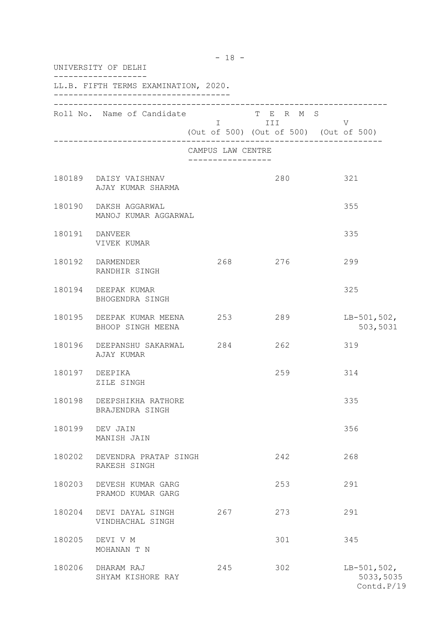|        | UNIVERSITY OF DELHI                           |                                                                                                                                                                                                                                                                                                                                 |                                                                                   |                                          |
|--------|-----------------------------------------------|---------------------------------------------------------------------------------------------------------------------------------------------------------------------------------------------------------------------------------------------------------------------------------------------------------------------------------|-----------------------------------------------------------------------------------|------------------------------------------|
|        | LL.B. FIFTH TERMS EXAMINATION, 2020.          |                                                                                                                                                                                                                                                                                                                                 |                                                                                   |                                          |
|        | Roll No. Name of Candidate                    | $\mathbb T$ and $\mathbb T$ and $\mathbb T$ and $\mathbb T$ and $\mathbb T$ and $\mathbb T$ and $\mathbb T$ and $\mathbb T$ and $\mathbb T$ and $\mathbb T$ and $\mathbb T$ and $\mathbb T$ and $\mathbb T$ and $\mathbb T$ and $\mathbb T$ and $\mathbb T$ and $\mathbb T$ and $\mathbb T$ and $\mathbb T$ and $\mathbb T$ and | T E R M S<br>III <b>Alexander State</b><br>(Out of 500) (Out of 500) (Out of 500) | V                                        |
|        |                                               | CAMPUS LAW CENTRE<br>_______________                                                                                                                                                                                                                                                                                            |                                                                                   |                                          |
|        | 180189 DAISY VAISHNAV<br>AJAY KUMAR SHARMA    |                                                                                                                                                                                                                                                                                                                                 | 280                                                                               | 321                                      |
|        | 180190 DAKSH AGGARWAL<br>MANOJ KUMAR AGGARWAL |                                                                                                                                                                                                                                                                                                                                 |                                                                                   | 355                                      |
|        | 180191 DANVEER<br>VIVEK KUMAR                 |                                                                                                                                                                                                                                                                                                                                 |                                                                                   | 335                                      |
|        | 180192 DARMENDER<br>RANDHIR SINGH             |                                                                                                                                                                                                                                                                                                                                 | 268 276                                                                           | 299                                      |
| 180194 | DEEPAK KUMAR<br>BHOGENDRA SINGH               |                                                                                                                                                                                                                                                                                                                                 |                                                                                   | 325                                      |
| 180195 | DEEPAK KUMAR MEENA<br>BHOOP SINGH MEENA       | 253                                                                                                                                                                                                                                                                                                                             | 289                                                                               | $LB-501,502,$<br>503,5031                |
| 180196 | DEEPANSHU SAKARWAL 284<br>AJAY KUMAR          |                                                                                                                                                                                                                                                                                                                                 | 262                                                                               | 319                                      |
|        | 180197 DEEPIKA<br>ZILE SINGH                  |                                                                                                                                                                                                                                                                                                                                 | 259                                                                               | 314                                      |
| 180198 | DEEPSHIKHA RATHORE<br>BRAJENDRA SINGH         |                                                                                                                                                                                                                                                                                                                                 |                                                                                   | 335                                      |
|        | 180199 DEV JAIN<br>MANISH JAIN                |                                                                                                                                                                                                                                                                                                                                 |                                                                                   | 356                                      |
| 180202 | DEVENDRA PRATAP SINGH<br>RAKESH SINGH         |                                                                                                                                                                                                                                                                                                                                 | 242                                                                               | 268                                      |
| 180203 | DEVESH KUMAR GARG<br>PRAMOD KUMAR GARG        |                                                                                                                                                                                                                                                                                                                                 | 253                                                                               | 291                                      |
| 180204 | DEVI DAYAL SINGH<br>VINDHACHAL SINGH          | 267                                                                                                                                                                                                                                                                                                                             | 273                                                                               | 291                                      |
| 180205 | DEVI V M<br>MOHANAN T N                       |                                                                                                                                                                                                                                                                                                                                 | 301                                                                               | 345                                      |
| 180206 | DHARAM RAJ<br>SHYAM KISHORE RAY               | 245                                                                                                                                                                                                                                                                                                                             | 302                                                                               | $LB-501,502,$<br>5033,5035<br>Contd.P/19 |

- 18 -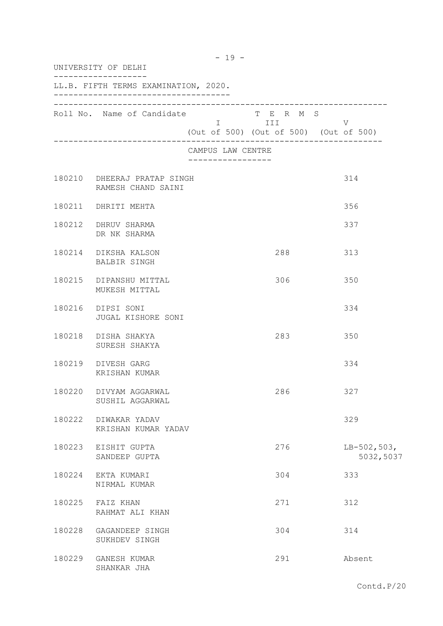| UNIVERSITY OF DELHI                               |                   |                                                                |                            |
|---------------------------------------------------|-------------------|----------------------------------------------------------------|----------------------------|
| LL.B. FIFTH TERMS EXAMINATION, 2020.              |                   |                                                                |                            |
| Roll No. Name of Candidate                        |                   | T E R M S<br>I III V<br>(Out of 500) (Out of 500) (Out of 500) |                            |
|                                                   | CAMPUS LAW CENTRE |                                                                |                            |
| 180210 DHEERAJ PRATAP SINGH<br>RAMESH CHAND SAINI |                   |                                                                | 314                        |
| 180211 DHRITI MEHTA                               |                   |                                                                | 356                        |
| 180212 DHRUV SHARMA<br>DR NK SHARMA               |                   |                                                                | 337                        |
| 180214 DIKSHA KALSON<br>BALBIR SINGH              |                   | 288                                                            | 313                        |
| 180215 DIPANSHU MITTAL<br>MUKESH MITTAL           |                   | 306                                                            | 350                        |
| 180216 DIPSI SONI<br>JUGAL KISHORE SONI           |                   |                                                                | 334                        |
| 180218 DISHA SHAKYA<br>SURESH SHAKYA              |                   | 283                                                            | 350                        |
| 180219 DIVESH GARG<br>KRISHAN KUMAR               |                   |                                                                | 334                        |
| 180220 DIVYAM AGGARWAL<br>SUSHIL AGGARWAL         |                   | 286                                                            | 327                        |
| 180222 DIWAKAR YADAV<br>KRISHAN KUMAR YADAV       |                   |                                                                | 329                        |
| 180223 EISHIT GUPTA<br>SANDEEP GUPTA              |                   | 276                                                            | $LB-502,503,$<br>5032,5037 |
| 180224 EKTA KUMARI<br>NIRMAL KUMAR                |                   | 304                                                            | 333                        |
| 180225 FAIZ KHAN<br>RAHMAT ALI KHAN               |                   | 271                                                            | 312                        |
| 180228 GAGANDEEP SINGH<br>SUKHDEV SINGH           |                   | 304                                                            | 314                        |
| 180229 GANESH KUMAR<br>SHANKAR JHA                |                   | 291                                                            | Absent                     |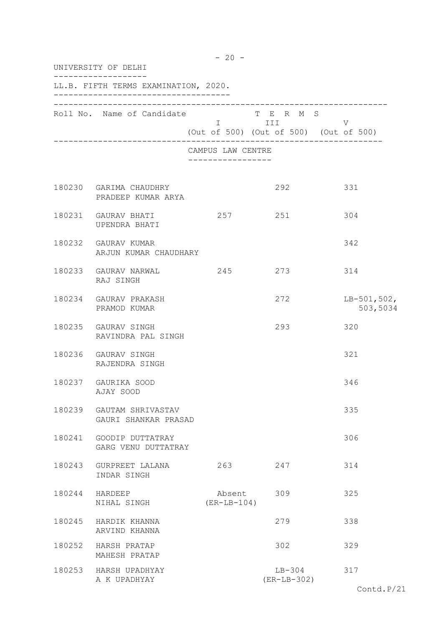|        | UNIVERSITY OF DELHI                              |                                                                                                                                                          |                           |                           |
|--------|--------------------------------------------------|----------------------------------------------------------------------------------------------------------------------------------------------------------|---------------------------|---------------------------|
|        | LL.B. FIFTH TERMS EXAMINATION, 2020.             |                                                                                                                                                          |                           |                           |
|        | Roll No. Name of Candidate                       | in the state of the state of the state of the state of the state of the state of the state of the state of the<br>(Out of 500) (Out of 500) (Out of 500) | T E R M S                 | V                         |
|        |                                                  | CAMPUS LAW CENTRE                                                                                                                                        |                           |                           |
|        | 180230 GARIMA CHAUDHRY<br>PRADEEP KUMAR ARYA     |                                                                                                                                                          | 292                       | 331                       |
|        | 180231 GAURAV BHATI<br>UPENDRA BHATI             | 257 251                                                                                                                                                  |                           | 304                       |
|        | 180232 GAURAV KUMAR<br>ARJUN KUMAR CHAUDHARY     |                                                                                                                                                          |                           | 342                       |
|        | 180233 GAURAV NARWAL<br>RAJ SINGH                | 245 273                                                                                                                                                  |                           | 314                       |
|        | 180234 GAURAV PRAKASH<br>PRAMOD KUMAR            |                                                                                                                                                          | 272                       | $LB-501,502,$<br>503,5034 |
|        | 180235 GAURAV SINGH<br>RAVINDRA PAL SINGH        |                                                                                                                                                          | 293                       | 320                       |
|        | 180236 GAURAV SINGH<br>RAJENDRA SINGH            |                                                                                                                                                          |                           | 321                       |
|        | 180237 GAURIKA SOOD<br>AJAY SOOD                 |                                                                                                                                                          |                           | 346                       |
|        | 180239 GAUTAM SHRIVASTAV<br>GAURI SHANKAR PRASAD |                                                                                                                                                          |                           | 335                       |
|        | 180241 GOODIP DUTTATRAY<br>GARG VENU DUTTATRAY   |                                                                                                                                                          |                           | 306                       |
|        | 180243 GURPREET LALANA<br>INDAR SINGH            | 263                                                                                                                                                      | 247                       | 314                       |
|        | 180244 HARDEEP<br>NIHAL SINGH                    | Absent 309<br>$(ER-LB-104)$                                                                                                                              |                           | 325                       |
| 180245 | HARDIK KHANNA<br>ARVIND KHANNA                   |                                                                                                                                                          | 279                       | 338                       |
| 180252 | HARSH PRATAP<br>MAHESH PRATAP                    |                                                                                                                                                          | 302                       | 329                       |
|        | 180253 HARSH UPADHYAY<br>A K UPADHYAY            |                                                                                                                                                          | $LB-304$<br>$(ER-LB-302)$ | 317                       |

- 20 -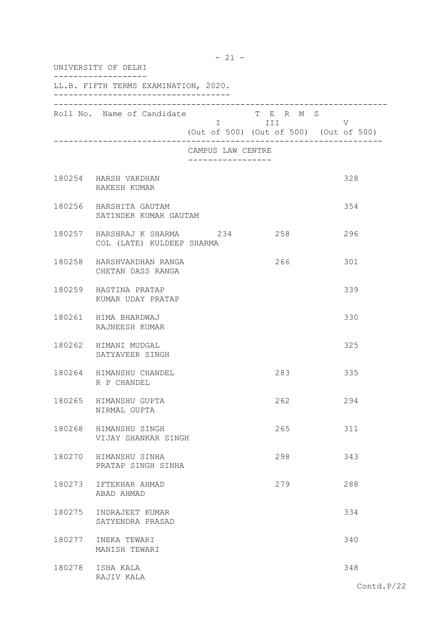|        | UNIVERSITY OF DELHI                                       |                   |                                                     |     |
|--------|-----------------------------------------------------------|-------------------|-----------------------------------------------------|-----|
|        | LL.B. FIFTH TERMS EXAMINATION, 2020.                      |                   |                                                     |     |
|        | Roll No. Name of Candidate                                |                   | T E R M S<br>(Out of 500) (Out of 500) (Out of 500) | V   |
|        |                                                           | CAMPUS LAW CENTRE |                                                     |     |
|        | 180254 HARSH VARDHAN<br>RAKESH KUMAR                      |                   |                                                     | 328 |
|        | 180256 HARSHITA GAUTAM<br>SATINDER KUMAR GAUTAM           |                   |                                                     | 354 |
|        | 180257 HARSHRAJ K SHARMA 234<br>COL (LATE) KULDEEP SHARMA |                   | 258                                                 | 296 |
|        | 180258 HARSHVARDHAN RANGA<br>CHETAN DASS RANGA            |                   | 266                                                 | 301 |
|        | 180259 HASTINA PRATAP<br>KUMAR UDAY PRATAP                |                   |                                                     | 339 |
|        | 180261 HIMA BHARDWAJ<br>RAJNEESH KUMAR                    |                   |                                                     | 330 |
|        | 180262 HIMANI MUDGAL<br>SATYAVEER SINGH                   |                   |                                                     | 325 |
|        | 180264 HIMANSHU CHANDEL<br>R P CHANDEL                    |                   | 283                                                 | 335 |
|        | 180265 HIMANSHU GUPTA<br>NIRMAL GUPTA                     |                   | 262                                                 | 294 |
|        | 180268 HIMANSHU SINGH<br>VIJAY SHANKAR SINGH              |                   | 265                                                 | 311 |
|        | 180270 HIMANSHU SINHA<br>PRATAP SINGH SINHA               |                   | 298                                                 | 343 |
|        | 180273 IFTEKHAR AHMAD<br>ABAD AHMAD                       |                   | 279                                                 | 288 |
| 180275 | INDRAJEET KUMAR<br>SATYENDRA PRASAD                       |                   |                                                     | 334 |
|        | 180277 INEKA TEWARI<br>MANISH TEWARI                      |                   |                                                     | 340 |
|        | 180278 ISHA KALA<br>RAJIV KALA                            |                   |                                                     | 348 |

 $- 21 -$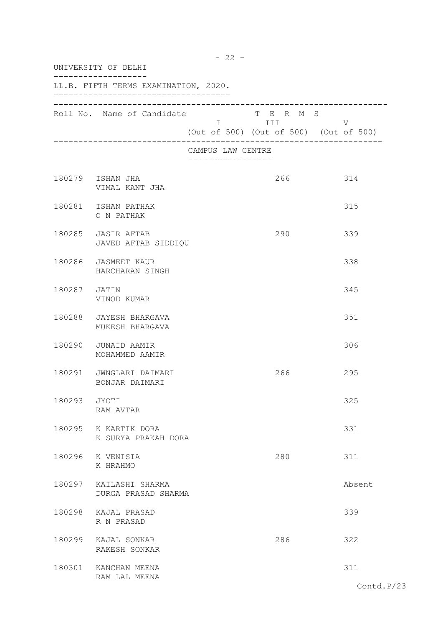|              | UNIVERSITY OF DELHI                           | $-22 -$                                |                                                              |            |  |
|--------------|-----------------------------------------------|----------------------------------------|--------------------------------------------------------------|------------|--|
|              | LL.B. FIFTH TERMS EXAMINATION, 2020.          |                                        |                                                              |            |  |
|              | Roll No. Name of Candidate                    |                                        | T E R M S<br>I III<br>(Out of 500) (Out of 500) (Out of 500) | V          |  |
|              |                                               | CAMPUS LAW CENTRE<br>----------------- |                                                              |            |  |
|              | 180279 ISHAN JHA<br>VIMAL KANT JHA            |                                        | 266                                                          | 314        |  |
|              | 180281 ISHAN PATHAK<br>O N PATHAK             |                                        |                                                              | 315        |  |
|              | 180285 JASIR AFTAB<br>JAVED AFTAB SIDDIQU     |                                        | 290                                                          | 339        |  |
|              | 180286 JASMEET KAUR<br>HARCHARAN SINGH        |                                        |                                                              | 338        |  |
| 180287 JATIN | VINOD KUMAR                                   |                                        |                                                              | 345        |  |
|              | 180288 JAYESH BHARGAVA<br>MUKESH BHARGAVA     |                                        |                                                              | 351        |  |
|              | 180290 JUNAID AAMIR<br>MOHAMMED AAMIR         |                                        |                                                              | 306        |  |
|              | 180291 JWNGLARI DAIMARI<br>BONJAR DAIMARI     |                                        | 266                                                          | 295        |  |
| 180293       | JYOTI<br>RAM AVTAR                            |                                        |                                                              | 325        |  |
|              | 180295 K KARTIK DORA<br>K SURYA PRAKAH DORA   |                                        |                                                              | 331        |  |
| 180296       | K VENISIA<br>K HRAHMO                         |                                        | 280                                                          | 311        |  |
|              | 180297 KAILASHI SHARMA<br>DURGA PRASAD SHARMA |                                        |                                                              | Absent     |  |
|              | 180298 KAJAL PRASAD<br>R N PRASAD             |                                        |                                                              | 339        |  |
|              | 180299 KAJAL SONKAR<br>RAKESH SONKAR          |                                        | 286                                                          | 322        |  |
| 180301       | KANCHAN MEENA<br>RAM LAL MEENA                |                                        |                                                              | 311        |  |
|              |                                               |                                        |                                                              | Contd.P/23 |  |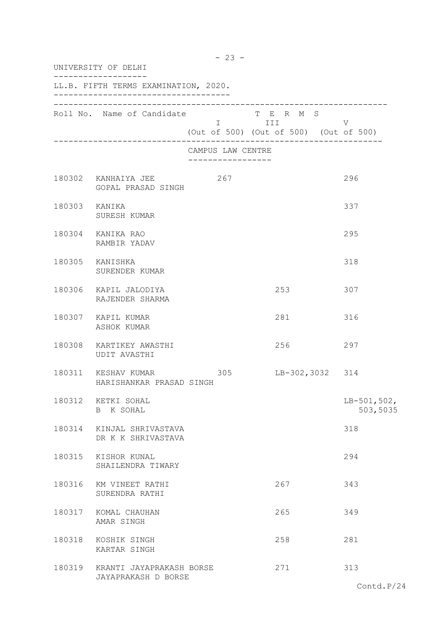|               | UNIVERSITY OF DELHI                             | $-23 -$                             |           |                 |                                                     |
|---------------|-------------------------------------------------|-------------------------------------|-----------|-----------------|-----------------------------------------------------|
|               | LL.B. FIFTH TERMS EXAMINATION, 2020.            |                                     |           |                 |                                                     |
|               | Roll No. Name of Candidate                      |                                     | T E R M S |                 | $I$ III V<br>(Out of 500) (Out of 500) (Out of 500) |
|               |                                                 | CAMPUS LAW CENTRE<br>-------------- |           |                 |                                                     |
|               | 180302 KANHAIYA JEE 267<br>GOPAL PRASAD SINGH   |                                     |           |                 | 296                                                 |
| 180303 KANIKA | SURESH KUMAR                                    |                                     |           |                 | 337                                                 |
|               | 180304 KANIKA RAO<br>RAMBIR YADAV               |                                     |           |                 | 295                                                 |
|               | 180305 KANISHKA<br>SURENDER KUMAR               |                                     |           |                 | 318                                                 |
|               | 180306 KAPIL JALODIYA<br>RAJENDER SHARMA        |                                     | 253       |                 | 307                                                 |
|               | 180307 KAPIL KUMAR<br>ASHOK KUMAR               |                                     | 281       |                 | 316                                                 |
|               | 180308 KARTIKEY AWASTHI<br>UDIT AVASTHI         |                                     | 256       |                 | 297                                                 |
|               | 180311 KESHAV KUMAR<br>HARISHANKAR PRASAD SINGH | 305                                 |           | LB-302,3032 314 |                                                     |
|               | 180312 KETKI SOHAL<br>K SOHAL<br>$\mathbf{B}$   |                                     |           |                 | $LB-501,502,$<br>503,5035                           |
| 180314        | KINJAL SHRIVASTAVA<br>DR K K SHRIVASTAVA        |                                     |           |                 | 318                                                 |
| 180315        | KISHOR KUNAL<br>SHAILENDRA TIWARY               |                                     |           |                 | 294                                                 |
|               | 180316 KM VINEET RATHI<br>SURENDRA RATHI        |                                     | 267       |                 | 343                                                 |
|               | 180317 KOMAL CHAUHAN<br>AMAR SINGH              |                                     | 265       |                 | 349                                                 |
|               | 180318 KOSHIK SINGH<br>KARTAR SINGH             |                                     | 258       |                 | 281                                                 |
| 180319        | KRANTI JAYAPRAKASH BORSE<br>JAYAPRAKASH D BORSE |                                     | 271       |                 | 313<br>Contd.P/24                                   |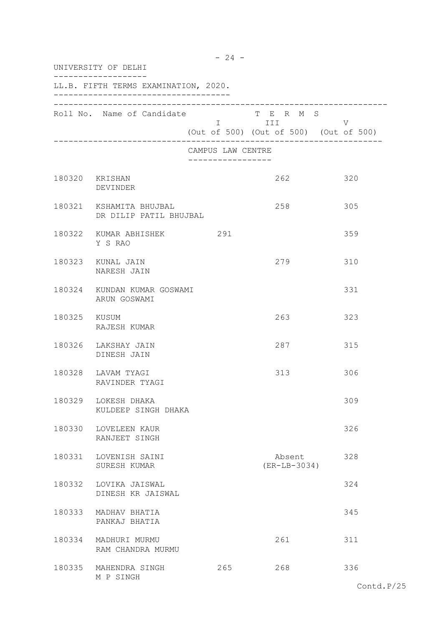|              | UNIVERSITY OF DELHI                               |                                       |                                                                                                                                                                      |     |
|--------------|---------------------------------------------------|---------------------------------------|----------------------------------------------------------------------------------------------------------------------------------------------------------------------|-----|
|              | LL.B. FIFTH TERMS EXAMINATION, 2020.              |                                       |                                                                                                                                                                      |     |
|              | Roll No. Name of Candidate                        |                                       | T E R M S<br>I III DA SANTA DE LA TITULA DE LA CATALLA DE LA CATALLA DE LA CATALLA DE LA CATALLA DE LA CATALLA DE LA CATAL<br>(Out of 500) (Out of 500) (Out of 500) | V   |
|              |                                                   | CAMPUS LAW CENTRE<br>---------------- |                                                                                                                                                                      |     |
|              | 180320 KRISHAN<br>DEVINDER                        |                                       | 262                                                                                                                                                                  | 320 |
|              | 180321 KSHAMITA BHUJBAL<br>DR DILIP PATIL BHUJBAL |                                       | 258                                                                                                                                                                  | 305 |
|              | 180322 KUMAR ABHISHEK 291<br>Y S RAO              |                                       |                                                                                                                                                                      | 359 |
|              | 180323 KUNAL JAIN<br>NARESH JAIN                  |                                       | 279                                                                                                                                                                  | 310 |
|              | 180324 KUNDAN KUMAR GOSWAMI<br>ARUN GOSWAMI       |                                       |                                                                                                                                                                      | 331 |
| 180325 KUSUM | RAJESH KUMAR                                      |                                       | 263                                                                                                                                                                  | 323 |
|              | 180326 LAKSHAY JAIN<br>DINESH JAIN                |                                       | 287                                                                                                                                                                  | 315 |
|              | 180328 LAVAM TYAGI<br>RAVINDER TYAGI              |                                       | 313                                                                                                                                                                  | 306 |
| 180329       | LOKESH DHAKA<br>KULDEEP SINGH DHAKA               |                                       |                                                                                                                                                                      | 309 |
|              | 180330 LOVELEEN KAUR<br>RANJEET SINGH             |                                       |                                                                                                                                                                      | 326 |
|              | 180331 LOVENISH SAINI<br>SURESH KUMAR             |                                       | Absent<br>$(ER-LB-3034)$                                                                                                                                             | 328 |
| 180332       | LOVIKA JAISWAL<br>DINESH KR JAISWAL               |                                       |                                                                                                                                                                      | 324 |
| 180333       | MADHAV BHATIA<br>PANKAJ BHATIA                    |                                       |                                                                                                                                                                      | 345 |
|              | 180334 MADHURI MURMU<br>RAM CHANDRA MURMU         |                                       | 261                                                                                                                                                                  | 311 |
|              | 180335 MAHENDRA SINGH<br>M P SINGH                | 265                                   | 268                                                                                                                                                                  | 336 |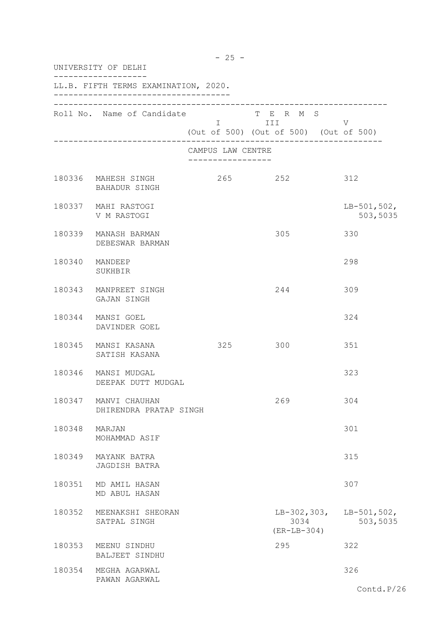|        | UNIVERSITY OF DELHI                       |                                      |                                                     |                                       |
|--------|-------------------------------------------|--------------------------------------|-----------------------------------------------------|---------------------------------------|
|        | LL.B. FIFTH TERMS EXAMINATION, 2020.      |                                      |                                                     |                                       |
|        | Roll No. Name of Candidate                | I III                                | T E R M S<br>(Out of 500) (Out of 500) (Out of 500) | V                                     |
|        |                                           | CAMPUS LAW CENTRE<br>_______________ |                                                     |                                       |
|        | 180336 MAHESH SINGH<br>BAHADUR SINGH      |                                      | 265 252                                             | 312                                   |
|        | 180337 MAHI RASTOGI<br>V M RASTOGI        |                                      |                                                     | $LB-501,502,$<br>503,5035             |
|        | 180339 MANASH BARMAN<br>DEBESWAR BARMAN   |                                      | 305                                                 | 330                                   |
|        | 180340 MANDEEP<br>SUKHBIR                 |                                      |                                                     | 298                                   |
|        | 180343 MANPREET SINGH<br>GAJAN SINGH      |                                      | 244                                                 | 309                                   |
|        | 180344 MANSI GOEL<br>DAVINDER GOEL        |                                      |                                                     | 324                                   |
|        | 180345 MANSI KASANA<br>SATISH KASANA      |                                      | 325 300                                             | 351                                   |
|        | 180346 MANSI MUDGAL<br>DEEPAK DUTT MUDGAL |                                      |                                                     | 323                                   |
| 180347 | MANVI CHAUHAN<br>DHIRENDRA PRATAP SINGH   |                                      | 269                                                 | 304                                   |
| 180348 | MARJAN<br>MOHAMMAD ASIF                   |                                      |                                                     | 301                                   |
| 180349 | MAYANK BATRA<br>JAGDISH BATRA             |                                      |                                                     | 315                                   |
| 180351 | MD AMIL HASAN<br>MD ABUL HASAN            |                                      |                                                     | 307                                   |
| 180352 | MEENAKSHI SHEORAN<br>SATPAL SINGH         |                                      | 3034<br>$(ER-LB-304)$                               | LB-302, 303, LB-501, 502,<br>503,5035 |
| 180353 | MEENU SINDHU<br>BALJEET SINDHU            |                                      | 295                                                 | 322                                   |
| 180354 | MEGHA AGARWAL<br>PAWAN AGARWAL            |                                      |                                                     | 326                                   |

- 25 -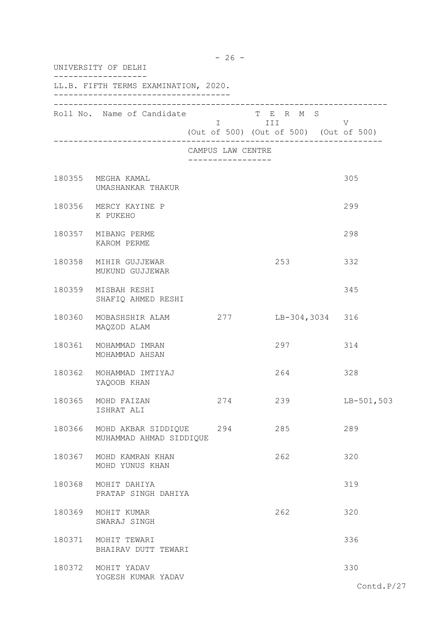| $-26 -$<br>UNIVERSITY OF DELHI |                                                    |                                      |                                                              |              |  |
|--------------------------------|----------------------------------------------------|--------------------------------------|--------------------------------------------------------------|--------------|--|
|                                | LL.B. FIFTH TERMS EXAMINATION, 2020.               |                                      |                                                              |              |  |
|                                | Roll No. Name of Candidate                         |                                      | T E R M S<br>I III<br>(Out of 500) (Out of 500) (Out of 500) | V            |  |
|                                |                                                    | CAMPUS LAW CENTRE<br>--------------- |                                                              |              |  |
|                                | 180355 MEGHA KAMAL<br>UMASHANKAR THAKUR            |                                      |                                                              | 305          |  |
|                                | 180356 MERCY KAYINE P<br>K PUKEHO                  |                                      |                                                              | 299          |  |
|                                | 180357 MIBANG PERME<br>KAROM PERME                 |                                      |                                                              | 298          |  |
|                                | 180358 MIHIR GUJJEWAR<br>MUKUND GUJJEWAR           |                                      | 253                                                          | 332          |  |
| 180359                         | MISBAH RESHI<br>SHAFIQ AHMED RESHI                 |                                      |                                                              | 345          |  |
| 180360                         | MOBASHSHIR ALAM 277 LB-304,3034 316<br>MAQZOD ALAM |                                      |                                                              |              |  |
|                                | 180361 MOHAMMAD IMRAN<br>MOHAMMAD AHSAN            |                                      | 297                                                          | 314          |  |
|                                | 180362 MOHAMMAD IMTIYAJ<br>YAQOOB KHAN             |                                      | 264                                                          | 328          |  |
|                                | 180365 MOHD FAIZAN<br>ISHRAT ALI                   | 274                                  | 239                                                          | $LB-501,503$ |  |
| 180366                         | MOHD AKBAR SIDDIQUE 294<br>MUHAMMAD AHMAD SIDDIQUE |                                      | 285                                                          | 289          |  |
| 180367                         | MOHD KAMRAN KHAN<br>MOHD YUNUS KHAN                |                                      | 262                                                          | 320          |  |
| 180368                         | MOHIT DAHIYA<br>PRATAP SINGH DAHIYA                |                                      |                                                              | 319          |  |
|                                | 180369 MOHIT KUMAR<br>SWARAJ SINGH                 |                                      | 262                                                          | 320          |  |
|                                | 180371 MOHIT TEWARI<br>BHAIRAV DUTT TEWARI         |                                      |                                                              | 336          |  |
|                                | 180372 MOHIT YADAV<br>YOGESH KUMAR YADAV           |                                      |                                                              | 330          |  |
|                                |                                                    |                                      |                                                              | Contd.P/27   |  |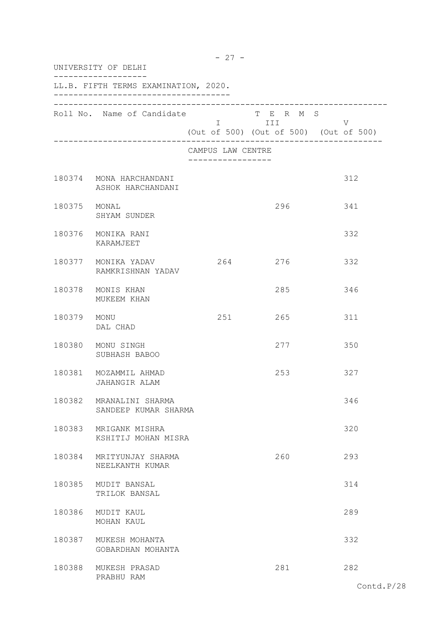| UNIVERSITY OF DELHI |                                                 |                                      |                         |                                             |
|---------------------|-------------------------------------------------|--------------------------------------|-------------------------|---------------------------------------------|
|                     | LL.B. FIFTH TERMS EXAMINATION, 2020.            |                                      |                         |                                             |
|                     | Roll No. Name of Candidate                      |                                      | T E R M S<br>I III DATU | V<br>(Out of 500) (Out of 500) (Out of 500) |
|                     |                                                 | CAMPUS LAW CENTRE<br>_______________ |                         |                                             |
|                     | 180374 MONA HARCHANDANI<br>ASHOK HARCHANDANI    |                                      |                         | 312                                         |
|                     | 180375 MONAL<br>SHYAM SUNDER                    |                                      | 296                     | 341                                         |
|                     | 180376 MONIKA RANI<br>KARAMJEET                 |                                      |                         | 332                                         |
|                     | 180377 MONIKA YADAV<br>RAMKRISHNAN YADAV        |                                      | 264 276                 | 332                                         |
|                     | 180378 MONIS KHAN<br>MUKEEM KHAN                |                                      | 285                     | 346                                         |
| 180379 MONU         | DAL CHAD                                        | 251                                  | 265                     | 311                                         |
|                     | 180380 MONU SINGH<br>SUBHASH BABOO              |                                      | 277                     | 350                                         |
|                     | 180381 MOZAMMIL AHMAD<br>JAHANGIR ALAM          |                                      | 253                     | 327                                         |
|                     | 180382 MRANALINI SHARMA<br>SANDEEP KUMAR SHARMA |                                      |                         | 346                                         |
|                     | 180383 MRIGANK MISHRA<br>KSHITIJ MOHAN MISRA    |                                      |                         | 320                                         |
|                     | 180384 MRITYUNJAY SHARMA<br>NEELKANTH KUMAR     |                                      | 260                     | 293                                         |
|                     | 180385 MUDIT BANSAL<br>TRILOK BANSAL            |                                      |                         | 314                                         |
| 180386              | MUDIT KAUL<br>MOHAN KAUL                        |                                      |                         | 289                                         |
|                     | 180387 MUKESH MOHANTA<br>GOBARDHAN MOHANTA      |                                      |                         | 332                                         |
| 180388              | MUKESH PRASAD<br>PRABHU RAM                     |                                      | 281                     | 282                                         |

- 27 -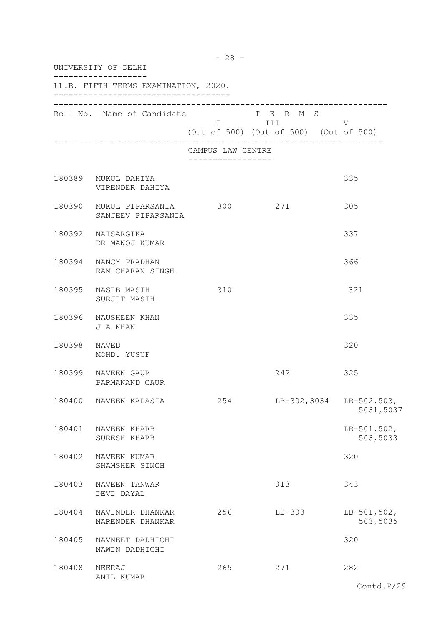| UNIVERSITY OF DELHI |                                                       |                                      |                                                                   |                            |  |
|---------------------|-------------------------------------------------------|--------------------------------------|-------------------------------------------------------------------|----------------------------|--|
|                     | LL.B. FIFTH TERMS EXAMINATION, 2020.                  |                                      |                                                                   |                            |  |
|                     | Roll No. Name of Candidate                            |                                      | T E R M S<br>I III DATU<br>(Out of 500) (Out of 500) (Out of 500) | V                          |  |
|                     |                                                       | CAMPUS LAW CENTRE<br>--------------- |                                                                   |                            |  |
|                     | 180389 MUKUL DAHIYA<br>VIRENDER DAHIYA                |                                      |                                                                   | 335                        |  |
|                     | 180390 MUKUL PIPARSANIA 300 271<br>SANJEEV PIPARSANIA |                                      |                                                                   | 305                        |  |
|                     | 180392 NAISARGIKA<br>DR MANOJ KUMAR                   |                                      |                                                                   | 337                        |  |
|                     | 180394 NANCY PRADHAN<br>RAM CHARAN SINGH              |                                      |                                                                   | 366                        |  |
|                     | 180395 NASIB MASIH<br>SURJIT MASIH                    | 310                                  |                                                                   | 321                        |  |
|                     | 180396 NAUSHEEN KHAN<br>J A KHAN                      |                                      |                                                                   | 335                        |  |
| 180398              | NAVED<br>MOHD. YUSUF                                  |                                      |                                                                   | 320                        |  |
| 180399              | NAVEEN GAUR<br>PARMANAND GAUR                         |                                      | 242                                                               | 325                        |  |
| 180400              | NAVEEN KAPASIA                                        | 254                                  | LB-302,3034                                                       | $LB-502,503,$<br>5031,5037 |  |
| 180401              | NAVEEN KHARB<br>SURESH KHARB                          |                                      |                                                                   | $LB-501,502,$<br>503,5033  |  |
| 180402              | NAVEEN KUMAR<br>SHAMSHER SINGH                        |                                      |                                                                   | 320                        |  |
| 180403              | NAVEEN TANWAR<br>DEVI DAYAL                           |                                      | 313                                                               | 343                        |  |
| 180404              | NAVINDER DHANKAR<br>NARENDER DHANKAR                  | 256                                  | $LB-303$                                                          | $LB-501,502,$<br>503,5035  |  |
| 180405              | NAVNEET DADHICHI<br>NAWIN DADHICHI                    |                                      |                                                                   | 320                        |  |
| 180408              | NEERAJ<br>ANIL KUMAR                                  | 265                                  | 271                                                               | 282                        |  |

- 28 -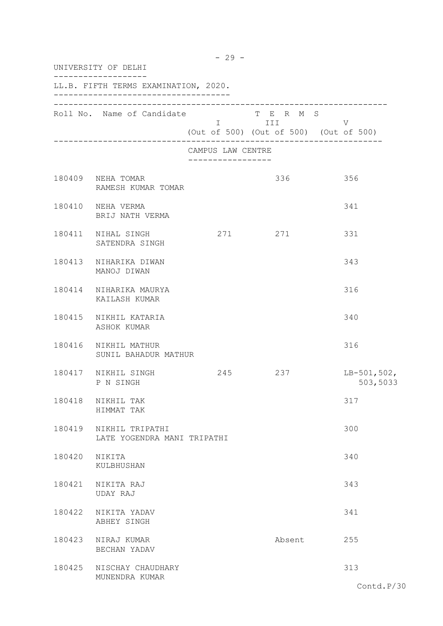|        | $-29 -$<br>UNIVERSITY OF DELHI                 |                                                      |                                                                  |                           |  |  |
|--------|------------------------------------------------|------------------------------------------------------|------------------------------------------------------------------|---------------------------|--|--|
|        | LL.B. FIFTH TERMS EXAMINATION, 2020.           |                                                      |                                                                  |                           |  |  |
|        | Roll No. Name of Candidate                     |                                                      | T E R M S<br>$I$ III V<br>(Out of 500) (Out of 500) (Out of 500) |                           |  |  |
|        |                                                | CAMPUS LAW CENTRE<br>. _ _ _ _ _ _ _ _ _ _ _ _ _ _ _ |                                                                  |                           |  |  |
|        | 180409 NEHA TOMAR<br>RAMESH KUMAR TOMAR        |                                                      | 336                                                              | 356                       |  |  |
|        | 180410 NEHA VERMA<br>BRIJ NATH VERMA           |                                                      |                                                                  | 341                       |  |  |
|        | 180411 NIHAL SINGH<br>SATENDRA SINGH           |                                                      | 271 271                                                          | 331                       |  |  |
|        | 180413 NIHARIKA DIWAN<br>MANOJ DIWAN           |                                                      |                                                                  | 343                       |  |  |
|        | 180414 NIHARIKA MAURYA<br>KAILASH KUMAR        |                                                      |                                                                  | 316                       |  |  |
|        | 180415 NIKHIL KATARIA<br>ASHOK KUMAR           |                                                      |                                                                  | 340                       |  |  |
|        | 180416 NIKHIL MATHUR<br>SUNIL BAHADUR MATHUR   |                                                      |                                                                  | 316                       |  |  |
|        | 180417 NIKHIL SINGH<br>P N SINGH               |                                                      | 245 237                                                          | $LB-501,502,$<br>503,5033 |  |  |
| 180418 | NIKHIL TAK<br>HIMMAT TAK                       |                                                      |                                                                  | 317                       |  |  |
| 180419 | NIKHIL TRIPATHI<br>LATE YOGENDRA MANI TRIPATHI |                                                      |                                                                  | 300                       |  |  |
| 180420 | NIKITA<br>KULBHUSHAN                           |                                                      |                                                                  | 340                       |  |  |
|        | 180421 NIKITA RAJ<br>UDAY RAJ                  |                                                      |                                                                  | 343                       |  |  |
| 180422 | NIKITA YADAV<br>ABHEY SINGH                    |                                                      |                                                                  | 341                       |  |  |
|        | 180423 NIRAJ KUMAR<br>BECHAN YADAV             |                                                      | Absent                                                           | 255                       |  |  |
| 180425 | NISCHAY CHAUDHARY<br>MUNENDRA KUMAR            |                                                      |                                                                  | 313                       |  |  |
|        |                                                |                                                      |                                                                  | Contd.P/30                |  |  |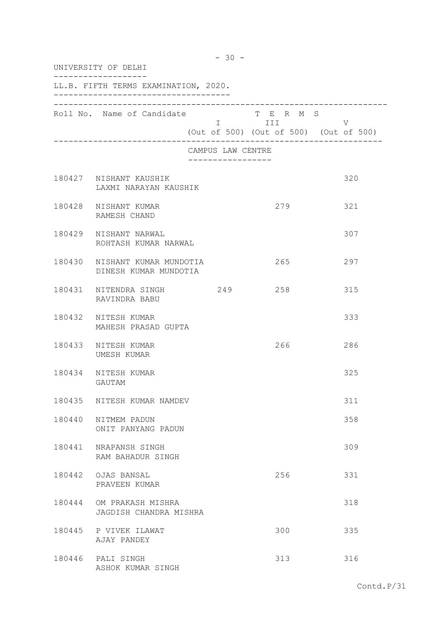| $-30 -$<br>UNIVERSITY OF DELHI |                                                        |                                       |                                                                  |     |  |
|--------------------------------|--------------------------------------------------------|---------------------------------------|------------------------------------------------------------------|-----|--|
|                                | LL.B. FIFTH TERMS EXAMINATION, 2020.                   |                                       |                                                                  |     |  |
|                                | Roll No. Name of Candidate                             |                                       | T E R M S<br>$I$ III V<br>(Out of 500) (Out of 500) (Out of 500) |     |  |
|                                |                                                        | CAMPUS LAW CENTRE<br>---------------- |                                                                  |     |  |
|                                | 180427 NISHANT KAUSHIK<br>LAXMI NARAYAN KAUSHIK        |                                       |                                                                  | 320 |  |
|                                | 180428 NISHANT KUMAR<br>RAMESH CHAND                   |                                       | 279                                                              | 321 |  |
|                                | 180429 NISHANT NARWAL<br>ROHTASH KUMAR NARWAL          |                                       |                                                                  | 307 |  |
|                                | 180430 NISHANT KUMAR MUNDOTIA<br>DINESH KUMAR MUNDOTIA |                                       | 265                                                              | 297 |  |
|                                | 180431 NITENDRA SINGH<br>RAVINDRA BABU                 | 249                                   | 258                                                              | 315 |  |
|                                | 180432 NITESH KUMAR<br>MAHESH PRASAD GUPTA             |                                       |                                                                  | 333 |  |
|                                | 180433 NITESH KUMAR<br>UMESH KUMAR                     |                                       | 266                                                              | 286 |  |
|                                | 180434 NITESH KUMAR<br>GAUTAM                          |                                       |                                                                  | 325 |  |
|                                | 180435 NITESH KUMAR NAMDEV                             |                                       |                                                                  | 311 |  |
|                                | 180440 NITMEM PADUN<br>ONIT PANYANG PADUN              |                                       |                                                                  | 358 |  |
|                                | 180441 NRAPANSH SINGH<br>RAM BAHADUR SINGH             |                                       |                                                                  | 309 |  |
|                                | 180442 OJAS BANSAL<br>PRAVEEN KUMAR                    |                                       | 256                                                              | 331 |  |
|                                | 180444 OM PRAKASH MISHRA<br>JAGDISH CHANDRA MISHRA     |                                       |                                                                  | 318 |  |
|                                | 180445 P VIVEK ILAWAT<br>AJAY PANDEY                   |                                       | 300                                                              | 335 |  |
|                                | 180446 PALI SINGH<br>ASHOK KUMAR SINGH                 |                                       | 313                                                              | 316 |  |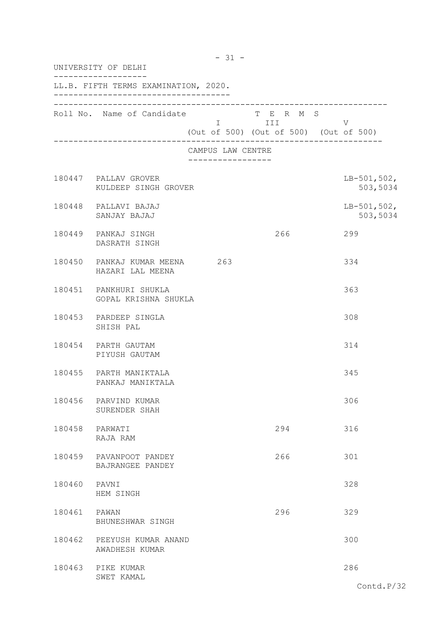| UNIVERSITY OF DELHI |                                                   |  |                                       |                                                              |                           |
|---------------------|---------------------------------------------------|--|---------------------------------------|--------------------------------------------------------------|---------------------------|
|                     | LL.B. FIFTH TERMS EXAMINATION, 2020.              |  |                                       |                                                              |                           |
|                     | Roll No. Name of Candidate                        |  |                                       | T E R M S<br>I III<br>(Out of 500) (Out of 500) (Out of 500) | V                         |
|                     |                                                   |  | CAMPUS LAW CENTRE<br>---------------- |                                                              |                           |
|                     | 180447 PALLAV GROVER<br>KULDEEP SINGH GROVER      |  |                                       |                                                              | $LB-501,502,$<br>503,5034 |
|                     | 180448 PALLAVI BAJAJ<br>SANJAY BAJAJ              |  |                                       |                                                              | $LB-501,502,$<br>503,5034 |
|                     | 180449 PANKAJ SINGH<br>DASRATH SINGH              |  |                                       | 266                                                          | 299                       |
|                     | 180450 PANKAJ KUMAR MEENA 263<br>HAZARI LAL MEENA |  |                                       |                                                              | 334                       |
|                     | 180451 PANKHURI SHUKLA<br>GOPAL KRISHNA SHUKLA    |  |                                       |                                                              | 363                       |
|                     | 180453 PARDEEP SINGLA<br>SHISH PAL                |  |                                       |                                                              | 308                       |
|                     | 180454 PARTH GAUTAM<br>PIYUSH GAUTAM              |  |                                       |                                                              | 314                       |
|                     | 180455 PARTH MANIKTALA<br>PANKAJ MANIKTALA        |  |                                       |                                                              | 345                       |
|                     | 180456 PARVIND KUMAR<br>SURENDER SHAH             |  |                                       |                                                              | 306                       |
| 180458 PARWATI      | RAJA RAM                                          |  |                                       | 294                                                          | 316                       |
|                     | 180459 PAVANPOOT PANDEY<br>BAJRANGEE PANDEY       |  |                                       | 266                                                          | 301                       |
| 180460              | PAVNI<br>HEM SINGH                                |  |                                       |                                                              | 328                       |
| 180461              | PAWAN<br>BHUNESHWAR SINGH                         |  |                                       | 296                                                          | 329                       |
|                     | 180462 PEEYUSH KUMAR ANAND<br>AWADHESH KUMAR      |  |                                       |                                                              | 300                       |
|                     | 180463 PIKE KUMAR<br>SWET KAMAL                   |  |                                       |                                                              | 286                       |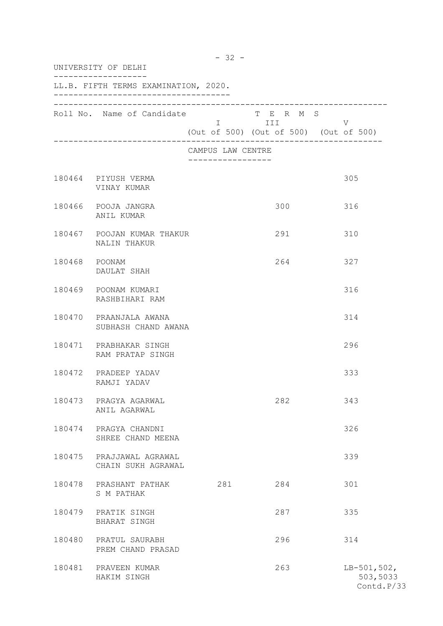| $-32 -$<br>UNIVERSITY OF DELHI |                                               |                                    |                                                                            |                                         |  |
|--------------------------------|-----------------------------------------------|------------------------------------|----------------------------------------------------------------------------|-----------------------------------------|--|
|                                | LL.B. FIFTH TERMS EXAMINATION, 2020.          |                                    |                                                                            |                                         |  |
|                                | Roll No. Name of Candidate                    |                                    | T E R M S<br>$I = N + 2$<br>I<br>$V = V$<br>V<br>(Out of 500) (Out of 500) |                                         |  |
|                                |                                               | CAMPUS LAW CENTRE<br>------------- |                                                                            |                                         |  |
|                                | 180464 PIYUSH VERMA<br>VINAY KUMAR            |                                    |                                                                            | 305                                     |  |
|                                | 180466 POOJA JANGRA<br>ANIL KUMAR             |                                    | 300                                                                        | 316                                     |  |
|                                | 180467 POOJAN KUMAR THAKUR<br>NALIN THAKUR    |                                    | 291                                                                        | 310                                     |  |
|                                | 180468 POONAM<br>DAULAT SHAH                  |                                    | 264                                                                        | 327                                     |  |
|                                | 180469 POONAM KUMARI<br>RASHBIHARI RAM        |                                    |                                                                            | 316                                     |  |
|                                | 180470 PRAANJALA AWANA<br>SUBHASH CHAND AWANA |                                    |                                                                            | 314                                     |  |
|                                | 180471 PRABHAKAR SINGH<br>RAM PRATAP SINGH    |                                    |                                                                            | 296                                     |  |
|                                | 180472 PRADEEP YADAV<br>RAMJI YADAV           |                                    |                                                                            | 333                                     |  |
|                                | 180473 PRAGYA AGARWAL<br>ANIL AGARWAL         |                                    | 282                                                                        | 343                                     |  |
|                                | 180474 PRAGYA CHANDNI<br>SHREE CHAND MEENA    |                                    |                                                                            | 326                                     |  |
| 180475                         | PRAJJAWAL AGRAWAL<br>CHAIN SUKH AGRAWAL       |                                    |                                                                            | 339                                     |  |
| 180478                         | PRASHANT PATHAK<br>S M PATHAK                 | 281                                | 284                                                                        | 301                                     |  |
|                                | 180479 PRATIK SINGH<br>BHARAT SINGH           |                                    | 287                                                                        | 335                                     |  |
|                                | 180480 PRATUL SAURABH<br>PREM CHAND PRASAD    |                                    | 296                                                                        | 314                                     |  |
| 180481                         | PRAVEEN KUMAR<br>HAKIM SINGH                  |                                    | 263                                                                        | $LB-501,502,$<br>503,5033<br>Contd.P/33 |  |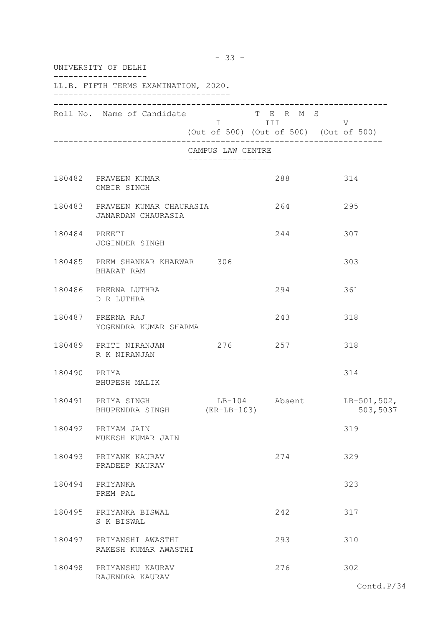|               | UNIVERSITY OF DELHI                                  |                                      |                                                                 |                           |
|---------------|------------------------------------------------------|--------------------------------------|-----------------------------------------------------------------|---------------------------|
|               | LL.B. FIFTH TERMS EXAMINATION, 2020.                 |                                      |                                                                 |                           |
|               | Roll No. Name of Candidate                           |                                      | T E R M S<br>I III DA<br>(Out of 500) (Out of 500) (Out of 500) | V                         |
|               |                                                      | CAMPUS LAW CENTRE<br>--------------- |                                                                 |                           |
|               | 180482 PRAVEEN KUMAR<br>OMBIR SINGH                  |                                      | 288                                                             | 314                       |
|               | 180483 PRAVEEN KUMAR CHAURASIA<br>JANARDAN CHAURASIA |                                      | 264                                                             | 295                       |
| 180484 PREETI | JOGINDER SINGH                                       |                                      | 244                                                             | 307                       |
|               | 180485 PREM SHANKAR KHARWAR 306<br>BHARAT RAM        |                                      |                                                                 | 303                       |
|               | 180486 PRERNA LUTHRA<br>D R LUTHRA                   |                                      | 294                                                             | 361                       |
|               | 180487 PRERNA RAJ<br>YOGENDRA KUMAR SHARMA           |                                      | 243                                                             | 318                       |
|               | 180489 PRITI NIRANJAN<br>R K NIRANJAN                | 276 257                              |                                                                 | 318                       |
| 180490 PRIYA  | BHUPESH MALIK                                        |                                      |                                                                 | 314                       |
| 180491        | PRIYA SINGH<br>BHUPENDRA SINGH                       | $LB-104$<br>$(ER-LB-103)$            | Absent                                                          | $LB-501,502,$<br>503,5037 |
|               | 180492 PRIYAM JAIN<br>MUKESH KUMAR JAIN              |                                      |                                                                 | 319                       |
| 180493        | PRIYANK KAURAV<br>PRADEEP KAURAV                     |                                      | 274                                                             | 329                       |
| 180494        | PRIYANKA<br>PREM PAL                                 |                                      |                                                                 | 323                       |
| 180495        | PRIYANKA BISWAL<br>S K BISWAL                        |                                      | 242                                                             | 317                       |
| 180497        | PRIYANSHI AWASTHI<br>RAKESH KUMAR AWASTHI            |                                      | 293                                                             | 310                       |
| 180498        | PRIYANSHU KAURAV<br>RAJENDRA KAURAV                  |                                      | 276                                                             | 302                       |
|               |                                                      |                                      |                                                                 | Contd.P/34                |

- 33 -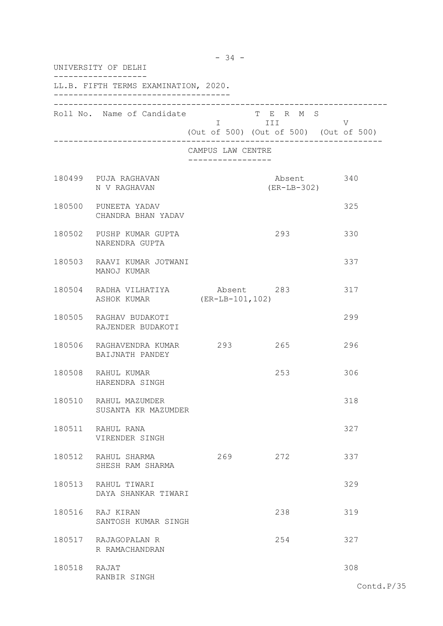| UNIVERSITY OF DELHI |                                                  |                                      |                                                                |     |  |
|---------------------|--------------------------------------------------|--------------------------------------|----------------------------------------------------------------|-----|--|
|                     | LL.B. FIFTH TERMS EXAMINATION, 2020.             |                                      |                                                                |     |  |
|                     | Roll No. Name of Candidate                       |                                      | T E R M S<br>I III V<br>(Out of 500) (Out of 500) (Out of 500) |     |  |
|                     |                                                  | CAMPUS LAW CENTRE<br>--------------- |                                                                |     |  |
|                     | 180499 PUJA RAGHAVAN<br>N V RAGHAVAN             |                                      | Absent<br>$(ER-LB-302)$                                        | 340 |  |
|                     | 180500 PUNEETA YADAV<br>CHANDRA BHAN YADAV       |                                      |                                                                | 325 |  |
|                     | 180502 PUSHP KUMAR GUPTA<br>NARENDRA GUPTA       |                                      | 293                                                            | 330 |  |
|                     | 180503 RAAVI KUMAR JOTWANI<br>MANOJ KUMAR        |                                      |                                                                | 337 |  |
|                     | 180504 RADHA VILHATIYA Absent 283<br>ASHOK KUMAR | (ER-LB-101,102)                      |                                                                | 317 |  |
|                     | 180505 RAGHAV BUDAKOTI<br>RAJENDER BUDAKOTI      |                                      |                                                                | 299 |  |
|                     | 180506 RAGHAVENDRA KUMAR<br>BAIJNATH PANDEY      | 293                                  | 265                                                            | 296 |  |
|                     | 180508 RAHUL KUMAR<br>HARENDRA SINGH             |                                      | 253                                                            | 306 |  |
| 180510              | RAHUL MAZUMDER<br>SUSANTA KR MAZUMDER            |                                      |                                                                | 318 |  |
|                     | 180511 RAHUL RANA<br>VIRENDER SINGH              |                                      |                                                                | 327 |  |
|                     | 180512 RAHUL SHARMA<br>SHESH RAM SHARMA          | 269                                  | 272                                                            | 337 |  |
|                     | 180513 RAHUL TIWARI<br>DAYA SHANKAR TIWARI       |                                      |                                                                | 329 |  |
| 180516              | RAJ KIRAN<br>SANTOSH KUMAR SINGH                 |                                      | 238                                                            | 319 |  |
|                     | 180517 RAJAGOPALAN R<br>R RAMACHANDRAN           |                                      | 254                                                            | 327 |  |
| 180518              | RAJAT<br>RANBIR SINGH                            |                                      |                                                                | 308 |  |

- 34 -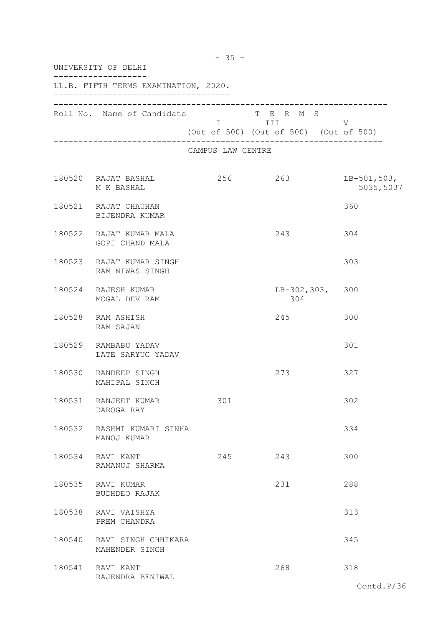| UNIVERSITY OF DELHI |                                              |                                      |                                                                |                          |  |  |
|---------------------|----------------------------------------------|--------------------------------------|----------------------------------------------------------------|--------------------------|--|--|
|                     | LL.B. FIFTH TERMS EXAMINATION, 2020.         |                                      |                                                                |                          |  |  |
|                     | Roll No. Name of Candidate                   |                                      | T E R M S<br>I III V<br>(Out of 500) (Out of 500) (Out of 500) |                          |  |  |
|                     |                                              | CAMPUS LAW CENTRE<br>--------------- |                                                                |                          |  |  |
|                     | 180520 RAJAT BASHAL<br>M K BASHAL            |                                      | 256 263                                                        | LB-501,503,<br>5035,5037 |  |  |
|                     | 180521 RAJAT CHAUHAN<br>BIJENDRA KUMAR       |                                      |                                                                | 360                      |  |  |
|                     | 180522 RAJAT KUMAR MALA<br>GOPI CHAND MALA   |                                      | 243                                                            | 304                      |  |  |
|                     | 180523 RAJAT KUMAR SINGH<br>RAM NIWAS SINGH  |                                      |                                                                | 303                      |  |  |
|                     | 180524 RAJESH KUMAR<br>MOGAL DEV RAM         |                                      | $LB-302, 303, 300$<br>304                                      |                          |  |  |
|                     | 180528 RAM ASHISH<br>RAM SAJAN               |                                      | 245                                                            | 300                      |  |  |
|                     | 180529 RAMBABU YADAV<br>LATE SARYUG YADAV    |                                      |                                                                | 301                      |  |  |
|                     | 180530 RANDEEP SINGH<br>MAHIPAL SINGH        |                                      | 273                                                            | 327                      |  |  |
|                     | 180531 RANJEET KUMAR<br>DAROGA RAY           | 301                                  |                                                                | 302                      |  |  |
|                     | 180532 RASHMI KUMARI SINHA<br>MANOJ KUMAR    |                                      |                                                                | 334                      |  |  |
|                     | 180534 RAVI KANT<br>RAMANUJ SHARMA           | 245                                  | 243                                                            | 300                      |  |  |
|                     | 180535 RAVI KUMAR<br>BUDHDEO RAJAK           |                                      | 231                                                            | 288                      |  |  |
| 180538              | RAVI VAISHYA<br>PREM CHANDRA                 |                                      |                                                                | 313                      |  |  |
|                     | 180540 RAVI SINGH CHHIKARA<br>MAHENDER SINGH |                                      |                                                                | 345                      |  |  |
|                     | 180541 RAVI KANT<br>RAJENDRA BENIWAL         |                                      | 268                                                            | 318                      |  |  |
|                     |                                              |                                      |                                                                | Contd.P/36               |  |  |

- 35 -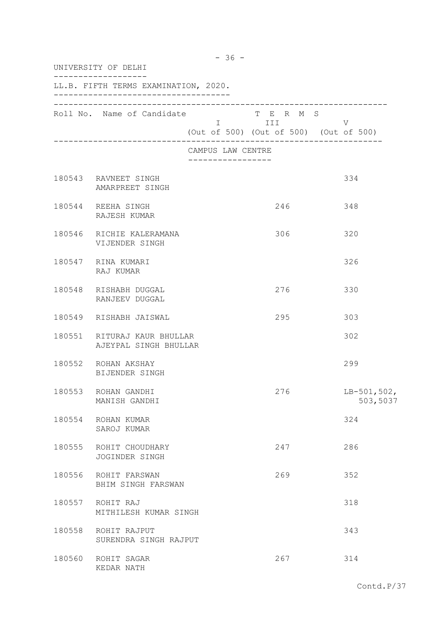| UNIVERSITY OF DELHI |                                                      |                                     |                                                                     |                           |  |  |
|---------------------|------------------------------------------------------|-------------------------------------|---------------------------------------------------------------------|---------------------------|--|--|
|                     | LL.B. FIFTH TERMS EXAMINATION, 2020.                 |                                     |                                                                     |                           |  |  |
|                     | Roll No. Name of Candidate                           |                                     | T E R M S<br><b>I</b> III<br>(Out of 500) (Out of 500) (Out of 500) | V                         |  |  |
|                     |                                                      | CAMPUS LAW CENTRE<br>-------------- |                                                                     |                           |  |  |
|                     | 180543 RAVNEET SINGH<br>AMARPREET SINGH              |                                     |                                                                     | 334                       |  |  |
|                     | 180544 REEHA SINGH<br>RAJESH KUMAR                   |                                     | 246                                                                 | 348                       |  |  |
|                     | 180546 RICHIE KALERAMANA<br>VIJENDER SINGH           |                                     | 306                                                                 | 320                       |  |  |
|                     | 180547 RINA KUMARI<br>RAJ KUMAR                      |                                     |                                                                     | 326                       |  |  |
|                     | 180548 RISHABH DUGGAL<br>RANJEEV DUGGAL              |                                     | 276                                                                 | 330                       |  |  |
|                     | 180549 RISHABH JAISWAL                               |                                     | 295                                                                 | 303                       |  |  |
|                     | 180551 RITURAJ KAUR BHULLAR<br>AJEYPAL SINGH BHULLAR |                                     |                                                                     | 302                       |  |  |
|                     | 180552 ROHAN AKSHAY<br>BIJENDER SINGH                |                                     |                                                                     | 299                       |  |  |
|                     | 180553 ROHAN GANDHI<br>MANISH GANDHI                 |                                     | 276                                                                 | $LB-501,502,$<br>503,5037 |  |  |
|                     | 180554 ROHAN KUMAR<br>SAROJ KUMAR                    |                                     |                                                                     | 324                       |  |  |
|                     | 180555 ROHIT CHOUDHARY<br>JOGINDER SINGH             |                                     | 247                                                                 | 286                       |  |  |
|                     | 180556 ROHIT FARSWAN<br>BHIM SINGH FARSWAN           |                                     | 269                                                                 | 352                       |  |  |
|                     | 180557 ROHIT RAJ<br>MITHILESH KUMAR SINGH            |                                     |                                                                     | 318                       |  |  |
|                     | 180558 ROHIT RAJPUT<br>SURENDRA SINGH RAJPUT         |                                     |                                                                     | 343                       |  |  |
|                     | 180560 ROHIT SAGAR<br>KEDAR NATH                     |                                     | 267                                                                 | 314                       |  |  |

- 36 -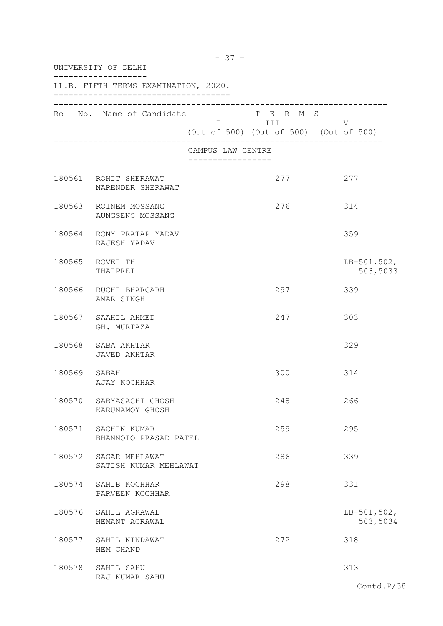|              | UNIVERSITY OF DELHI                            |                                      |                                                              |                           |
|--------------|------------------------------------------------|--------------------------------------|--------------------------------------------------------------|---------------------------|
|              | LL.B. FIFTH TERMS EXAMINATION, 2020.           |                                      |                                                              |                           |
|              | Roll No. Name of Candidate                     |                                      | T E R M S<br>I III<br>(Out of 500) (Out of 500) (Out of 500) | V                         |
|              |                                                | CAMPUS LAW CENTRE<br>--------------- |                                                              |                           |
|              | 180561 ROHIT SHERAWAT<br>NARENDER SHERAWAT     |                                      | 277                                                          | 277                       |
|              | 180563 ROINEM MOSSANG<br>AUNGSENG MOSSANG      |                                      | 276                                                          | 314                       |
|              | 180564 RONY PRATAP YADAV<br>RAJESH YADAV       |                                      |                                                              | 359                       |
|              | 180565 ROVEI TH<br>THAIPREI                    |                                      |                                                              | $LB-501,502,$<br>503,5033 |
|              | 180566 RUCHI BHARGARH<br>AMAR SINGH            |                                      | 297                                                          | 339                       |
|              | 180567 SAAHIL AHMED<br>GH. MURTAZA             |                                      | 247                                                          | 303                       |
|              | 180568 SABA AKHTAR<br><b>JAVED AKHTAR</b>      |                                      |                                                              | 329                       |
| 180569 SABAH | AJAY KOCHHAR                                   |                                      | 300                                                          | 314                       |
| 180570       | SABYASACHI GHOSH<br>KARUNAMOY GHOSH            |                                      | 248                                                          | 266                       |
|              | 180571 SACHIN KUMAR<br>BHANNOIO PRASAD PATEL   |                                      | 259                                                          | 295                       |
|              | 180572 SAGAR MEHLAWAT<br>SATISH KUMAR MEHLAWAT |                                      | 286                                                          | 339                       |
|              | 180574 SAHIB KOCHHAR<br>PARVEEN KOCHHAR        |                                      | 298                                                          | 331                       |
|              | 180576 SAHIL AGRAWAL<br>HEMANT AGRAWAL         |                                      |                                                              | $LB-501,502,$<br>503,5034 |
|              | 180577 SAHIL NINDAWAT<br>HEM CHAND             |                                      | 272                                                          | 318                       |
|              | 180578 SAHIL SAHU<br>RAJ KUMAR SAHU            |                                      |                                                              | 313<br>Con A D/           |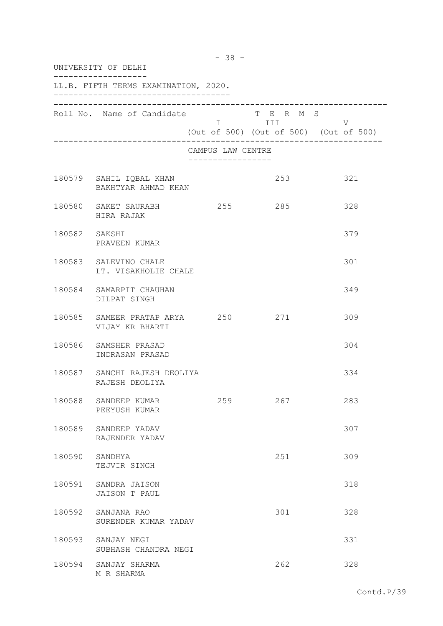|               | UNIVERSITY OF DELHI                              |                                      |         |                                        |
|---------------|--------------------------------------------------|--------------------------------------|---------|----------------------------------------|
|               | LL.B. FIFTH TERMS EXAMINATION, 2020.             |                                      |         |                                        |
|               | Roll No. Name of Candidate T E R M S             |                                      | I III V | (Out of 500) (Out of 500) (Out of 500) |
|               |                                                  | CAMPUS LAW CENTRE<br>_______________ |         |                                        |
|               | 180579 SAHIL IQBAL KHAN<br>BAKHTYAR AHMAD KHAN   |                                      | 253     | 321                                    |
|               | 180580 SAKET SAURABH<br>HIRA RAJAK               | 255                                  | 285     | 328                                    |
| 180582 SAKSHI | PRAVEEN KUMAR                                    |                                      |         | 379                                    |
|               | 180583 SALEVINO CHALE<br>LT. VISAKHOLIE CHALE    |                                      |         | 301                                    |
|               | 180584 SAMARPIT CHAUHAN<br>DILPAT SINGH          |                                      |         | 349                                    |
|               | 180585 SAMEER PRATAP ARYA 250<br>VIJAY KR BHARTI |                                      | 271     | 309                                    |
|               | 180586 SAMSHER PRASAD<br>INDRASAN PRASAD         |                                      |         | 304                                    |
|               | 180587 SANCHI RAJESH DEOLIYA<br>RAJESH DEOLIYA   |                                      |         | 334                                    |
| 180588        | SANDEEP KUMAR<br>PEEYUSH KUMAR                   | 259                                  | 267     | 283                                    |
|               | 180589 SANDEEP YADAV<br>RAJENDER YADAV           |                                      |         | 307                                    |
| 180590        | SANDHYA<br>TEJVIR SINGH                          |                                      | 251     | 309                                    |
| 180591        | SANDRA JAISON<br>JAISON T PAUL                   |                                      |         | 318                                    |
| 180592        | SANJANA RAO<br>SURENDER KUMAR YADAV              |                                      | 301     | 328                                    |
| 180593        | SANJAY NEGI<br>SUBHASH CHANDRA NEGI              |                                      |         | 331                                    |
|               | 180594 SANJAY SHARMA<br>M R SHARMA               |                                      | 262     | 328                                    |

- 38 -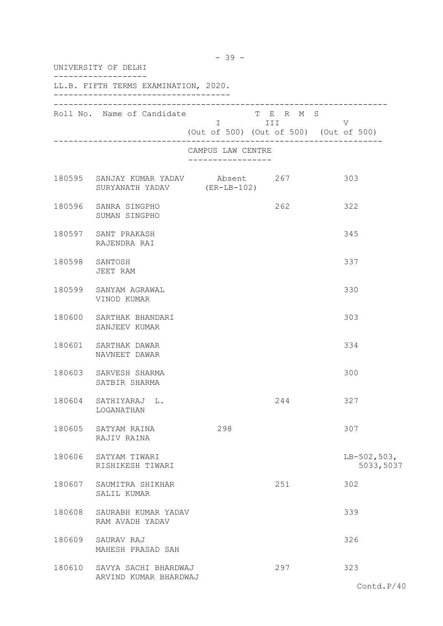|        | UNIVERSITY OF DELHI                                                 |                                       |                                                                                                                             |                                             |
|--------|---------------------------------------------------------------------|---------------------------------------|-----------------------------------------------------------------------------------------------------------------------------|---------------------------------------------|
|        | LL.B. FIFTH TERMS EXAMINATION, 2020.                                |                                       |                                                                                                                             |                                             |
|        | Roll No. Name of Candidate                                          |                                       | T E R M S<br>I III DA SANTA SA TITULA DE LA CATALLA DE LA CATALLA DE LA CATALLA DE LA CATALLA DE LA CATALLA DE LA CATALLA D | V<br>(Out of 500) (Out of 500) (Out of 500) |
|        |                                                                     | CAMPUS LAW CENTRE<br>---------------- |                                                                                                                             |                                             |
|        | 180595 SANJAY KUMAR YADAV Absent 267<br>SURYANATH YADAV (ER-LB-102) |                                       |                                                                                                                             | 303                                         |
|        | 180596 SANRA SINGPHO<br>SUMAN SINGPHO                               |                                       | 262                                                                                                                         | 322                                         |
|        | 180597 SANT PRAKASH<br>RAJENDRA RAI                                 |                                       |                                                                                                                             | 345                                         |
|        | 180598 SANTOSH<br>JEET RAM                                          |                                       |                                                                                                                             | 337                                         |
|        | 180599 SANYAM AGRAWAL<br>VINOD KUMAR                                |                                       |                                                                                                                             | 330                                         |
|        | 180600 SARTHAK BHANDARI<br>SANJEEV KUMAR                            |                                       |                                                                                                                             | 303                                         |
|        | 180601 SARTHAK DAWAR<br>NAVNEET DAWAR                               |                                       |                                                                                                                             | 334                                         |
|        | 180603 SARVESH SHARMA<br>SATBIR SHARMA                              |                                       |                                                                                                                             | 300                                         |
| 180604 | SATHIYARAJ L.<br>LOGANATHAN                                         |                                       | 244                                                                                                                         | 327                                         |
|        | 180605 SATYAM RAINA<br>RAJIV RAINA                                  | 298                                   |                                                                                                                             | 307                                         |
| 180606 | SATYAM TIWARI<br>RISHIKESH TIWARI                                   |                                       |                                                                                                                             | $LB-502,503,$<br>5033,5037                  |
|        | 180607 SAUMITRA SHIKHAR<br>SALIL KUMAR                              |                                       | 251                                                                                                                         | 302                                         |
| 180608 | SAURABH KUMAR YADAV<br>RAM AVADH YADAV                              |                                       |                                                                                                                             | 339                                         |
| 180609 | SAURAV RAJ<br>MAHESH PRASAD SAH                                     |                                       |                                                                                                                             | 326                                         |
|        | 180610 SAVYA SACHI BHARDWAJ<br>ARVIND KUMAR BHARDWAJ                |                                       | 297                                                                                                                         | 323                                         |
|        |                                                                     |                                       |                                                                                                                             | Contd.P/40                                  |

- 39 -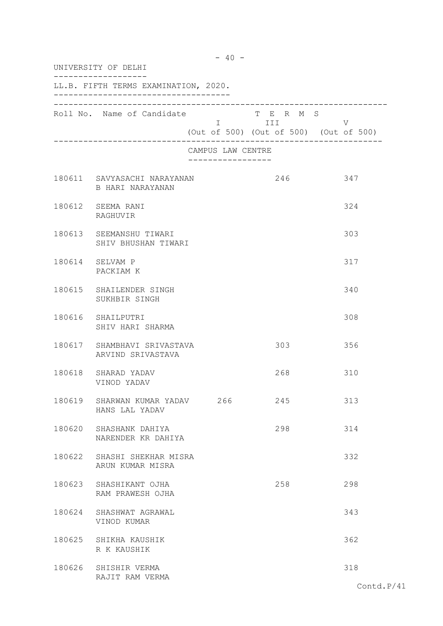|        | UNIVERSITY OF DELHI                              |                   |                         |                                             |
|--------|--------------------------------------------------|-------------------|-------------------------|---------------------------------------------|
|        | LL.B. FIFTH TERMS EXAMINATION, 2020.             |                   |                         |                                             |
|        | Roll No. Name of Candidate                       |                   | T E R M S<br>I III DATU | V<br>(Out of 500) (Out of 500) (Out of 500) |
|        |                                                  | CAMPUS LAW CENTRE |                         |                                             |
|        | 180611 SAVYASACHI NARAYANAN<br>B HARI NARAYANAN  |                   | 246                     | 347                                         |
|        | 180612 SEEMA RANI<br>RAGHUVIR                    |                   |                         | 324                                         |
|        | 180613 SEEMANSHU TIWARI<br>SHIV BHUSHAN TIWARI   |                   |                         | 303                                         |
|        | 180614 SELVAM P<br>PACKIAM K                     |                   |                         | 317                                         |
|        | 180615 SHAILENDER SINGH<br>SUKHBIR SINGH         |                   |                         | 340                                         |
|        | 180616 SHAILPUTRI<br>SHIV HARI SHARMA            |                   |                         | 308                                         |
|        | 180617 SHAMBHAVI SRIVASTAVA<br>ARVIND SRIVASTAVA |                   | 303                     | 356                                         |
|        | 180618 SHARAD YADAV<br>VINOD YADAV               |                   | 268                     | 310                                         |
| 180619 | SHARWAN KUMAR YADAV<br>HANS LAL YADAV            | 266               | 245                     | 313                                         |
|        | 180620 SHASHANK DAHIYA<br>NARENDER KR DAHIYA     |                   | 298                     | 314                                         |
|        | 180622 SHASHI SHEKHAR MISRA<br>ARUN KUMAR MISRA  |                   |                         | 332                                         |
|        | 180623 SHASHIKANT OJHA<br>RAM PRAWESH OJHA       |                   | 258                     | 298                                         |
|        | 180624 SHASHWAT AGRAWAL<br>VINOD KUMAR           |                   |                         | 343                                         |
|        | 180625 SHIKHA KAUSHIK<br>R K KAUSHIK             |                   |                         | 362                                         |
|        | 180626 SHISHIR VERMA<br>RAJIT RAM VERMA          |                   |                         | 318                                         |

 $- 40 -$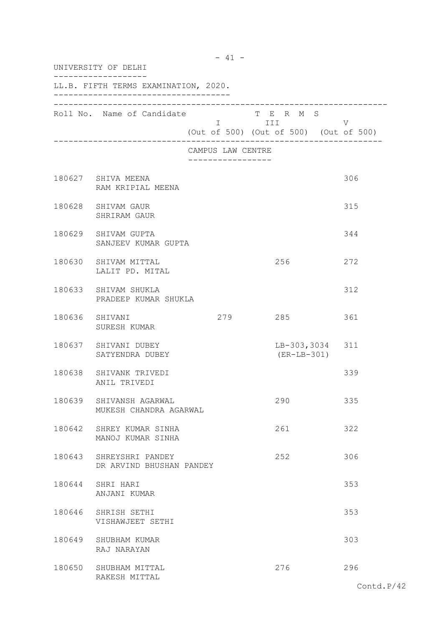|                | UNIVERSITY OF DELHI                                 |                                      |                                                                   |     |
|----------------|-----------------------------------------------------|--------------------------------------|-------------------------------------------------------------------|-----|
|                | LL.B. FIFTH TERMS EXAMINATION, 2020.                |                                      |                                                                   |     |
|                | Roll No. Name of Candidate                          |                                      | T E R M S<br>I III DATU<br>(Out of 500) (Out of 500) (Out of 500) | V   |
|                |                                                     | CAMPUS LAW CENTRE<br>--------------- |                                                                   |     |
|                | 180627 SHIVA MEENA<br>RAM KRIPIAL MEENA             |                                      |                                                                   | 306 |
|                | 180628 SHIVAM GAUR<br>SHRIRAM GAUR                  |                                      |                                                                   | 315 |
|                | 180629 SHIVAM GUPTA<br>SANJEEV KUMAR GUPTA          |                                      |                                                                   | 344 |
|                | 180630 SHIVAM MITTAL<br>LALIT PD. MITAL             |                                      | 256                                                               | 272 |
|                | 180633 SHIVAM SHUKLA<br>PRADEEP KUMAR SHUKLA        |                                      |                                                                   | 312 |
| 180636 SHIVANI | SURESH KUMAR                                        | 279                                  | 285                                                               | 361 |
|                | 180637 SHIVANI DUBEY<br>SATYENDRA DUBEY             |                                      | LB-303,3034 311<br>$(ER-LB-301)$                                  |     |
|                | 180638 SHIVANK TRIVEDI<br>ANIL TRIVEDI              |                                      |                                                                   | 339 |
| 180639         | SHIVANSH AGARWAL<br>MUKESH CHANDRA AGARWAL          |                                      | 290                                                               | 335 |
|                | 180642 SHREY KUMAR SINHA<br>MANOJ KUMAR SINHA       |                                      | 261                                                               | 322 |
|                | 180643 SHREYSHRI PANDEY<br>DR ARVIND BHUSHAN PANDEY |                                      | 252                                                               | 306 |
|                | 180644 SHRI HARI<br>ANJANI KUMAR                    |                                      |                                                                   | 353 |
|                | 180646 SHRISH SETHI<br>VISHAWJEET SETHI             |                                      |                                                                   | 353 |
|                | 180649 SHUBHAM KUMAR<br>RAJ NARAYAN                 |                                      |                                                                   | 303 |
|                | 180650 SHUBHAM MITTAL<br>RAKESH MITTAL              |                                      | 276                                                               | 296 |

- 41 -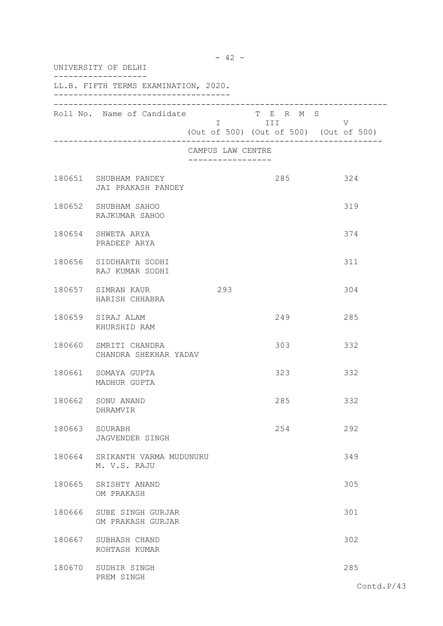|                | UNIVERSITY OF DELHI                            |                                 |                       |                                             |
|----------------|------------------------------------------------|---------------------------------|-----------------------|---------------------------------------------|
|                | LL.B. FIFTH TERMS EXAMINATION, 2020.           |                                 |                       |                                             |
|                | Roll No. Name of Candidate                     |                                 | T E R M S<br>I III DA | V<br>(Out of 500) (Out of 500) (Out of 500) |
|                |                                                | CAMPUS LAW CENTRE<br>. <u>.</u> |                       |                                             |
|                | 180651 SHUBHAM PANDEY<br>JAI PRAKASH PANDEY    |                                 | 285                   | 324                                         |
|                | 180652 SHUBHAM SAHOO<br>RAJKUMAR SAHOO         |                                 |                       | 319                                         |
|                | 180654 SHWETA ARYA<br>PRADEEP ARYA             |                                 |                       | 374                                         |
|                | 180656 SIDDHARTH SODHI<br>RAJ KUMAR SODHI      |                                 |                       | 311                                         |
|                | 180657 SIMRAN KAUR<br>HARISH CHHABRA           | 293                             |                       | 304                                         |
|                | 180659 SIRAJ ALAM<br>KHURSHID RAM              |                                 | 249                   | 285                                         |
|                | 180660 SMRITI CHANDRA<br>CHANDRA SHEKHAR YADAV |                                 | 303                   | 332                                         |
|                | 180661 SOMAYA GUPTA<br>MADHUR GUPTA            |                                 | 323                   | 332                                         |
| 180662         | SONU ANAND<br>DHRAMVIR                         |                                 | 285                   | 332                                         |
| 180663 SOURABH | JAGVENDER SINGH                                |                                 | 254                   | 292                                         |
|                | 180664 SRIKANTH VARMA MUDUNURU<br>M. V.S. RAJU |                                 |                       | 349                                         |
|                | 180665 SRISHTY ANAND<br>OM PRAKASH             |                                 |                       | 305                                         |
|                | 180666 SUBE SINGH GURJAR<br>OM PRAKASH GURJAR  |                                 |                       | 301                                         |
|                | 180667 SUBHASH CHAND<br>ROHTASH KUMAR          |                                 |                       | 302                                         |
| 180670         | SUDHIR SINGH<br>PREM SINGH                     |                                 |                       | 285                                         |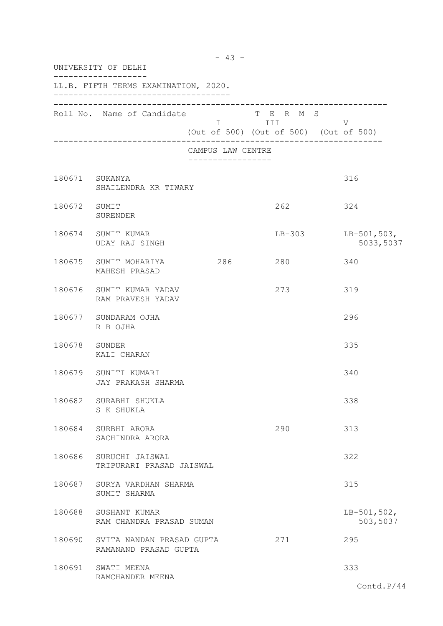| UNIVERSITY OF DELHI |                                                           |                                   |                                                                                                                                                                                                                                                                                        |                            |  |  |
|---------------------|-----------------------------------------------------------|-----------------------------------|----------------------------------------------------------------------------------------------------------------------------------------------------------------------------------------------------------------------------------------------------------------------------------------|----------------------------|--|--|
|                     | LL.B. FIFTH TERMS EXAMINATION, 2020.                      |                                   |                                                                                                                                                                                                                                                                                        |                            |  |  |
|                     | Roll No. Name of Candidate                                |                                   | T E R M S<br>I III DA SANTA DE LA TITULA DE LA CATALLA DE LA CATALLA DE LA CATALLA DE LA CATALLA DE LA CATALLA DE LA CATAL<br>DE LA CATALLA DE LA CATALLA DE LA CATALLA DE LA CATALLA DE LA CATALLA DE LA CATALLA DE LA CATALLA DE LA CATALL<br>(Out of 500) (Out of 500) (Out of 500) | V                          |  |  |
|                     |                                                           | CAMPUS LAW CENTRE<br>------------ |                                                                                                                                                                                                                                                                                        |                            |  |  |
| 180671 SUKANYA      | SHAILENDRA KR TIWARY                                      |                                   |                                                                                                                                                                                                                                                                                        | 316                        |  |  |
| 180672 SUMIT        | <b>SURENDER</b>                                           |                                   | 262                                                                                                                                                                                                                                                                                    | 324                        |  |  |
|                     | 180674 SUMIT KUMAR<br><b>UDAY RAJ SINGH</b>               |                                   | $LB-303$                                                                                                                                                                                                                                                                               | $LB-501,503,$<br>5033,5037 |  |  |
|                     | 180675 SUMIT MOHARIYA<br>MAHESH PRASAD                    | 286 280                           |                                                                                                                                                                                                                                                                                        | 340                        |  |  |
|                     | 180676 SUMIT KUMAR YADAV<br>RAM PRAVESH YADAV             |                                   | 273                                                                                                                                                                                                                                                                                    | 319                        |  |  |
|                     | 180677 SUNDARAM OJHA<br>R B OJHA                          |                                   |                                                                                                                                                                                                                                                                                        | 296                        |  |  |
| 180678 SUNDER       | KALI CHARAN                                               |                                   |                                                                                                                                                                                                                                                                                        | 335                        |  |  |
|                     | 180679 SUNITI KUMARI<br>JAY PRAKASH SHARMA                |                                   |                                                                                                                                                                                                                                                                                        | 340                        |  |  |
|                     | 180682 SURABHI SHUKLA<br>S K SHUKLA                       |                                   |                                                                                                                                                                                                                                                                                        | 338                        |  |  |
|                     | 180684 SURBHI ARORA<br>SACHINDRA ARORA                    |                                   | 290                                                                                                                                                                                                                                                                                    | 313                        |  |  |
| 180686              | SURUCHI JAISWAL<br>TRIPURARI PRASAD JAISWAL               |                                   |                                                                                                                                                                                                                                                                                        | 322                        |  |  |
|                     | 180687 SURYA VARDHAN SHARMA<br>SUMIT SHARMA               |                                   |                                                                                                                                                                                                                                                                                        | 315                        |  |  |
| 180688              | SUSHANT KUMAR<br>RAM CHANDRA PRASAD SUMAN                 |                                   |                                                                                                                                                                                                                                                                                        | $LB-501,502,$<br>503,5037  |  |  |
|                     | 180690 SVITA NANDAN PRASAD GUPTA<br>RAMANAND PRASAD GUPTA |                                   | 271                                                                                                                                                                                                                                                                                    | 295                        |  |  |
|                     | 180691 SWATI MEENA<br>RAMCHANDER MEENA                    |                                   |                                                                                                                                                                                                                                                                                        | 333                        |  |  |
|                     |                                                           |                                   |                                                                                                                                                                                                                                                                                        | Contd.P/44                 |  |  |

- 43 -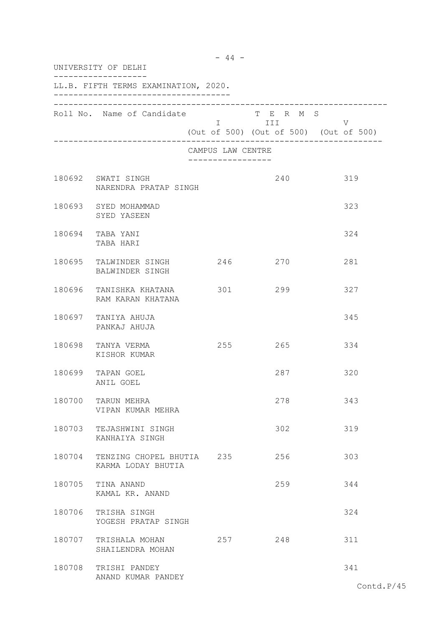|        | UNIVERSITY OF DELHI                             |                                   |                         |                                             |
|--------|-------------------------------------------------|-----------------------------------|-------------------------|---------------------------------------------|
|        | LL.B. FIFTH TERMS EXAMINATION, 2020.            |                                   |                         |                                             |
|        | Roll No. Name of Candidate                      |                                   | T E R M S<br>I III DATU | V<br>(Out of 500) (Out of 500) (Out of 500) |
|        |                                                 | CAMPUS LAW CENTRE<br>. <u>.</u> . |                         |                                             |
|        | 180692 SWATI SINGH<br>NARENDRA PRATAP SINGH     |                                   | 240                     | 319                                         |
|        | 180693 SYED MOHAMMAD<br>SYED YASEEN             |                                   |                         | 323                                         |
|        | 180694 TABA YANI<br>TABA HARI                   |                                   |                         | 324                                         |
|        | 180695 TALWINDER SINGH<br>BALWINDER SINGH       | 246 270                           |                         | 281                                         |
|        | 180696 TANISHKA KHATANA<br>RAM KARAN KHATANA    | 301                               | 299                     | 327                                         |
|        | 180697 TANIYA AHUJA<br>PANKAJ AHUJA             |                                   |                         | 345                                         |
|        | 180698 TANYA VERMA<br>KISHOR KUMAR              | 255                               | 265                     | 334                                         |
|        | 180699 TAPAN GOEL<br>ANIL GOEL                  |                                   | 287                     | 320                                         |
| 180700 | TARUN MEHRA<br>VIPAN KUMAR MEHRA                |                                   | 278                     | 343                                         |
|        | 180703 TEJASHWINI SINGH<br>KANHAIYA SINGH       |                                   | 302                     | 319                                         |
| 180704 | TENZING CHOPEL BHUTIA 235<br>KARMA LODAY BHUTIA |                                   | 256                     | 303                                         |
| 180705 | TINA ANAND<br>KAMAL KR. ANAND                   |                                   | 259                     | 344                                         |
| 180706 | TRISHA SINGH<br>YOGESH PRATAP SINGH             |                                   |                         | 324                                         |
| 180707 | TRISHALA MOHAN<br>SHAILENDRA MOHAN              | 257                               | 248                     | 311                                         |
| 180708 | TRISHI PANDEY<br>ANAND KUMAR PANDEY             |                                   |                         | 341                                         |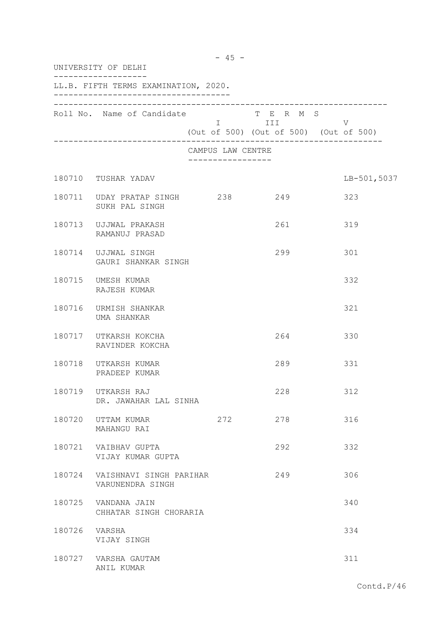|               | UNIVERSITY OF DELHI                                |                                                      |                                                              |             |
|---------------|----------------------------------------------------|------------------------------------------------------|--------------------------------------------------------------|-------------|
|               | LL.B. FIFTH TERMS EXAMINATION, 2020.               |                                                      |                                                              |             |
|               | Roll No. Name of Candidate                         |                                                      | T E R M S<br>I III<br>(Out of 500) (Out of 500) (Out of 500) | V           |
|               |                                                    | CAMPUS LAW CENTRE<br>. _ _ _ _ _ _ _ _ _ _ _ _ _ _ _ |                                                              |             |
|               | 180710 TUSHAR YADAV                                |                                                      |                                                              | LB-501,5037 |
|               | 180711 UDAY PRATAP SINGH 238 249<br>SUKH PAL SINGH |                                                      |                                                              | 323         |
|               | 180713 UJJWAL PRAKASH<br>RAMANUJ PRASAD            |                                                      | 261                                                          | 319         |
|               | 180714 UJJWAL SINGH<br>GAURI SHANKAR SINGH         |                                                      | 299                                                          | 301         |
|               | 180715 UMESH KUMAR<br>RAJESH KUMAR                 |                                                      |                                                              | 332         |
|               | 180716 URMISH SHANKAR<br>UMA SHANKAR               |                                                      |                                                              | 321         |
|               | 180717 UTKARSH KOKCHA<br>RAVINDER KOKCHA           |                                                      | 264                                                          | 330         |
|               | 180718 UTKARSH KUMAR<br>PRADEEP KUMAR              |                                                      | 289                                                          | 331         |
|               | 180719 UTKARSH RAJ<br>DR. JAWAHAR LAL SINHA        |                                                      | 228                                                          | 312         |
|               | 180720 UTTAM KUMAR<br>MAHANGU RAI                  | 272                                                  | 278                                                          | 316         |
|               | 180721 VAIBHAV GUPTA<br>VIJAY KUMAR GUPTA          |                                                      | 292                                                          | 332         |
|               | 180724 VAISHNAVI SINGH PARIHAR<br>VARUNENDRA SINGH |                                                      | 249                                                          | 306         |
|               | 180725 VANDANA JAIN<br>CHHATAR SINGH CHORARIA      |                                                      |                                                              | 340         |
| 180726 VARSHA | VIJAY SINGH                                        |                                                      |                                                              | 334         |
|               | 180727 VARSHA GAUTAM<br>ANIL KUMAR                 |                                                      |                                                              | 311         |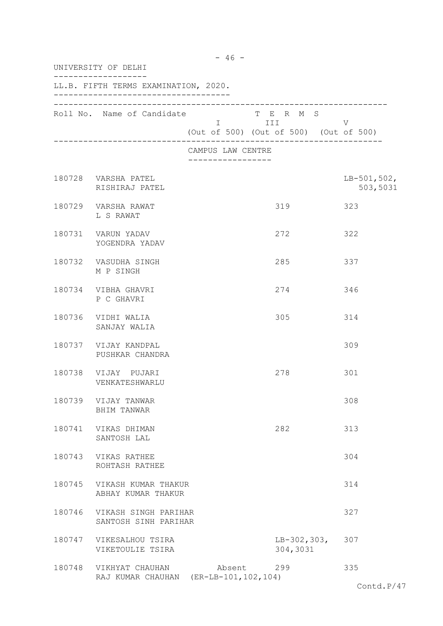|        | UNIVERSITY OF DELHI                                               |                                      |                                                              |                           |
|--------|-------------------------------------------------------------------|--------------------------------------|--------------------------------------------------------------|---------------------------|
|        | LL.B. FIFTH TERMS EXAMINATION, 2020.                              |                                      |                                                              |                           |
|        | Roll No. Name of Candidate                                        |                                      | T E R M S<br>I III<br>(Out of 500) (Out of 500) (Out of 500) | V                         |
|        |                                                                   | CAMPUS LAW CENTRE<br>_______________ |                                                              |                           |
|        | 180728 VARSHA PATEL<br>RISHIRAJ PATEL                             |                                      |                                                              | $LB-501,502,$<br>503,5031 |
|        | 180729 VARSHA RAWAT<br>L S RAWAT                                  |                                      | 319                                                          | 323                       |
|        | 180731 VARUN YADAV<br>YOGENDRA YADAV                              |                                      | 272                                                          | 322                       |
|        | 180732 VASUDHA SINGH<br>M P SINGH                                 |                                      | 285                                                          | 337                       |
|        | 180734 VIBHA GHAVRI<br>P C GHAVRI                                 |                                      | 274                                                          | 346                       |
|        | 180736 VIDHI WALIA<br>SANJAY WALIA                                |                                      | 305                                                          | 314                       |
|        | 180737 VIJAY KANDPAL<br>PUSHKAR CHANDRA                           |                                      |                                                              | 309                       |
|        | 180738 VIJAY PUJARI<br>VENKATESHWARLU                             |                                      | 278                                                          | 301                       |
|        | 180739 VIJAY TANWAR<br>BHIM TANWAR                                |                                      |                                                              | 308                       |
|        | 180741 VIKAS DHIMAN<br>SANTOSH LAL                                |                                      | 282                                                          | 313                       |
|        | 180743 VIKAS RATHEE<br>ROHTASH RATHEE                             |                                      |                                                              | 304                       |
|        | 180745 VIKASH KUMAR THAKUR<br>ABHAY KUMAR THAKUR                  |                                      |                                                              | 314                       |
| 180746 | VIKASH SINGH PARIHAR<br>SANTOSH SINH PARIHAR                      |                                      |                                                              | 327                       |
|        | 180747 VIKESALHOU TSIRA<br>VIKETOULIE TSIRA                       |                                      | $LB-302, 303, 307$<br>304,3031                               |                           |
|        | 180748 VIKHYAT CHAUHAN<br>RAJ KUMAR CHAUHAN (ER-LB-101, 102, 104) |                                      | Absent 299                                                   | 335                       |

- 46 -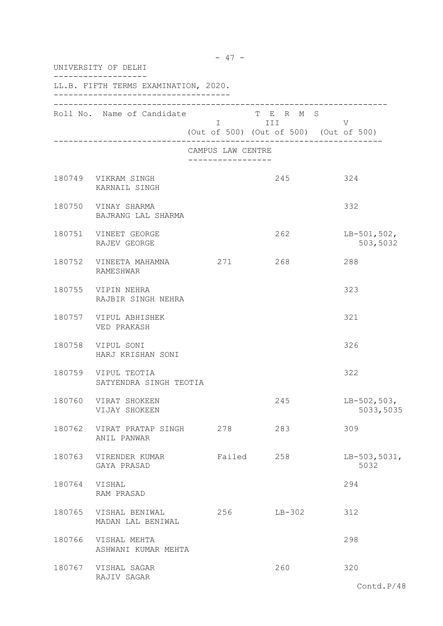|        | UNIVERSITY OF DELHI                                |                                                                             |                                                                                                                                                                                                                                                                                       |                            |
|--------|----------------------------------------------------|-----------------------------------------------------------------------------|---------------------------------------------------------------------------------------------------------------------------------------------------------------------------------------------------------------------------------------------------------------------------------------|----------------------------|
|        | LL.B. FIFTH TERMS EXAMINATION, 2020.               |                                                                             |                                                                                                                                                                                                                                                                                       |                            |
|        | Roll No. Name of Candidate                         | $\mathbf I$ and $\mathbf I$ and $\mathbf I$ and $\mathbf I$ and $\mathbf I$ | T E R M S<br>III and a structure of the structure of the structure of the structure of the structure of the structure of the structure of the structure of the structure of the structure of the structure of the structure of the structur<br>(Out of 500) (Out of 500) (Out of 500) | V                          |
|        |                                                    | CAMPUS LAW CENTRE<br>_______________                                        |                                                                                                                                                                                                                                                                                       |                            |
|        | 180749 VIKRAM SINGH<br>KARNAIL SINGH               |                                                                             | 245                                                                                                                                                                                                                                                                                   | 324                        |
|        | 180750 VINAY SHARMA<br>BAJRANG LAL SHARMA          |                                                                             |                                                                                                                                                                                                                                                                                       | 332                        |
|        | 180751 VINEET GEORGE<br>RAJEV GEORGE               |                                                                             | 262                                                                                                                                                                                                                                                                                   | $LB-501,502,$<br>503,5032  |
|        | 180752 VINEETA MAHAMNA 271 268<br><b>RAMESHWAR</b> |                                                                             |                                                                                                                                                                                                                                                                                       | 288                        |
|        | 180755 VIPIN NEHRA<br>RAJBIR SINGH NEHRA           |                                                                             |                                                                                                                                                                                                                                                                                       | 323                        |
|        | 180757 VIPUL ABHISHEK<br>VED PRAKASH               |                                                                             |                                                                                                                                                                                                                                                                                       | 321                        |
|        | 180758 VIPUL SONI<br>HARJ KRISHAN SONI             |                                                                             |                                                                                                                                                                                                                                                                                       | 326                        |
|        | 180759 VIPUL TEOTIA<br>SATYENDRA SINGH TEOTIA      |                                                                             |                                                                                                                                                                                                                                                                                       | 322                        |
| 180760 | VIRAT SHOKEEN<br>VIJAY SHOKEEN                     |                                                                             | 245                                                                                                                                                                                                                                                                                   | $LB-502,503,$<br>5033,5035 |
|        | 180762 VIRAT PRATAP SINGH<br>ANIL PANWAR           | 278                                                                         | 283                                                                                                                                                                                                                                                                                   | 309                        |
|        | 180763 VIRENDER KUMAR<br>GAYA PRASAD               |                                                                             | Failed 258                                                                                                                                                                                                                                                                            | $LB-503,5031,$<br>5032     |
| 180764 | VISHAL<br>RAM PRASAD                               |                                                                             |                                                                                                                                                                                                                                                                                       | 294                        |
| 180765 | VISHAL BENIWAL<br>MADAN LAL BENIWAL                | 256                                                                         | $LB-302$                                                                                                                                                                                                                                                                              | 312                        |
| 180766 | VISHAL MEHTA<br>ASHWANI KUMAR MEHTA                |                                                                             |                                                                                                                                                                                                                                                                                       | 298                        |
|        | 180767 VISHAL SAGAR<br>RAJIV SAGAR                 |                                                                             | 260                                                                                                                                                                                                                                                                                   | 320                        |
|        |                                                    |                                                                             |                                                                                                                                                                                                                                                                                       | Contd.P/48                 |

- 47 -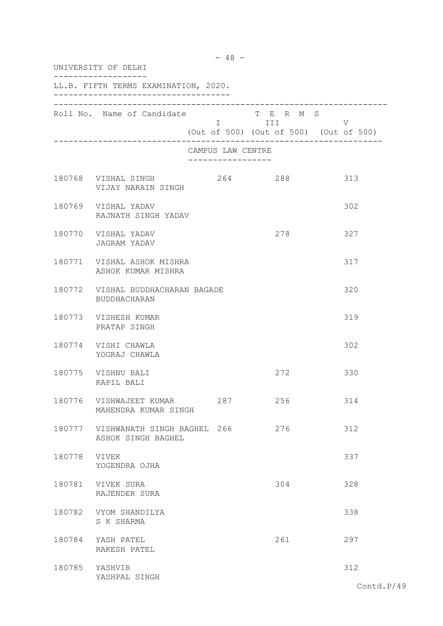|              | UNIVERSITY OF DELHI                                      |                                      |                         |                                             |
|--------------|----------------------------------------------------------|--------------------------------------|-------------------------|---------------------------------------------|
|              | LL.B. FIFTH TERMS EXAMINATION, 2020.                     |                                      |                         |                                             |
|              | Roll No. Name of Candidate                               |                                      | T E R M S<br>I III DATU | V<br>(Out of 500) (Out of 500) (Out of 500) |
|              |                                                          | CAMPUS LAW CENTRE<br>--------------- |                         |                                             |
|              | 180768 VISHAL SINGH<br>VIJAY NARAIN SINGH                | 264 288                              |                         | 313                                         |
|              | 180769 VISHAL YADAV<br>RAJNATH SINGH YADAV               |                                      |                         | 302                                         |
|              | 180770 VISHAL YADAV<br>JAGRAM YADAV                      |                                      | 278                     | 327                                         |
|              | 180771 VISHAL ASHOK MISHRA<br>ASHOK KUMAR MISHRA         |                                      |                         | 317                                         |
|              | 180772 VISHAL BUDDHACHARAN BAGADE<br><b>BUDDHACHARAN</b> |                                      |                         | 320                                         |
|              | 180773 VISHESH KUMAR<br>PRATAP SINGH                     |                                      |                         | 319                                         |
|              | 180774 VISHI CHAWLA<br>YOGRAJ CHAWLA                     |                                      |                         | 302                                         |
|              | 180775 VISHNU BALI<br>KAPIL BALI                         |                                      | 272                     | 330                                         |
| 180776       | VISHWAJEET KUMAR<br>MAHENDRA KUMAR SINGH                 | 287                                  | 256                     | 314                                         |
|              | 180777 VISHWANATH SINGH BAGHEL 266<br>ASHOK SINGH BAGHEL |                                      | 276                     | 312                                         |
| 180778 VIVEK | YOGENDRA OJHA                                            |                                      |                         | 337                                         |
|              | 180781 VIVEK SURA<br>RAJENDER SURA                       |                                      | 304                     | 328                                         |
|              | 180782 VYOM SHANDILYA<br>S K SHARMA                      |                                      |                         | 338                                         |
|              | 180784 YASH PATEL<br>RAKESH PATEL                        |                                      | 261                     | 297                                         |
|              | 180785 YASHVIR<br>YASHPAL SINGH                          |                                      |                         | 312                                         |

- 48 -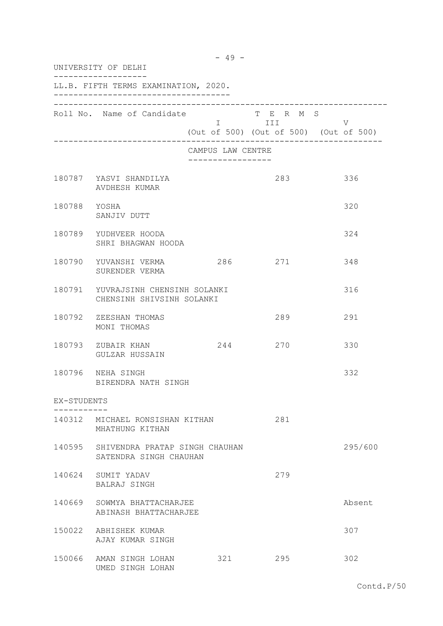| UNIVERSITY OF DELHI |                                                                 |                                     |                                                                                                                                                                      |         |  |
|---------------------|-----------------------------------------------------------------|-------------------------------------|----------------------------------------------------------------------------------------------------------------------------------------------------------------------|---------|--|
|                     | LL.B. FIFTH TERMS EXAMINATION, 2020.                            |                                     |                                                                                                                                                                      |         |  |
|                     | Roll No. Name of Candidate                                      |                                     | T E R M S<br>I III DA SANTA DE LA TITULA DE LA CATALLA DE LA CATALLA DE LA CATALLA DE LA CATALLA DE LA CATALLA DE LA CATAL<br>(Out of 500) (Out of 500) (Out of 500) | V       |  |
|                     |                                                                 | CAMPUS LAW CENTRE<br>-------------- |                                                                                                                                                                      |         |  |
|                     | 180787 YASVI SHANDILYA<br>AVDHESH KUMAR                         |                                     | 283                                                                                                                                                                  | 336     |  |
| 180788 YOSHA        | SANJIV DUTT                                                     |                                     |                                                                                                                                                                      | 320     |  |
|                     | 180789 YUDHVEER HOODA<br>SHRI BHAGWAN HOODA                     |                                     |                                                                                                                                                                      | 324     |  |
|                     | 180790 YUVANSHI VERMA 286<br>SURENDER VERMA                     |                                     | 271                                                                                                                                                                  | 348     |  |
|                     | 180791 YUVRAJSINH CHENSINH SOLANKI<br>CHENSINH SHIVSINH SOLANKI |                                     |                                                                                                                                                                      | 316     |  |
|                     | 180792 ZEESHAN THOMAS<br>MONI THOMAS                            |                                     | 289                                                                                                                                                                  | 291     |  |
|                     | 180793 ZUBAIR KHAN<br>GULZAR HUSSAIN                            | 244                                 | 270                                                                                                                                                                  | 330     |  |
|                     | 180796 NEHA SINGH<br>BIRENDRA NATH SINGH                        |                                     |                                                                                                                                                                      | 332     |  |
| EX-STUDENTS         |                                                                 |                                     |                                                                                                                                                                      |         |  |
|                     | 140312 MICHAEL RONSISHAN KITHAN<br>MHATHUNG KITHAN              |                                     | 281                                                                                                                                                                  |         |  |
|                     | 140595 SHIVENDRA PRATAP SINGH CHAUHAN<br>SATENDRA SINGH CHAUHAN |                                     |                                                                                                                                                                      | 295/600 |  |
|                     | 140624 SUMIT YADAV<br>BALRAJ SINGH                              |                                     | 279                                                                                                                                                                  |         |  |
|                     | 140669 SOWMYA BHATTACHARJEE<br>ABINASH BHATTACHARJEE            |                                     |                                                                                                                                                                      | Absent  |  |
|                     | 150022 ABHISHEK KUMAR<br>AJAY KUMAR SINGH                       |                                     |                                                                                                                                                                      | 307     |  |
|                     | 150066 AMAN SINGH LOHAN<br>UMED SINGH LOHAN                     | 321                                 | 295                                                                                                                                                                  | 302     |  |

- 49 -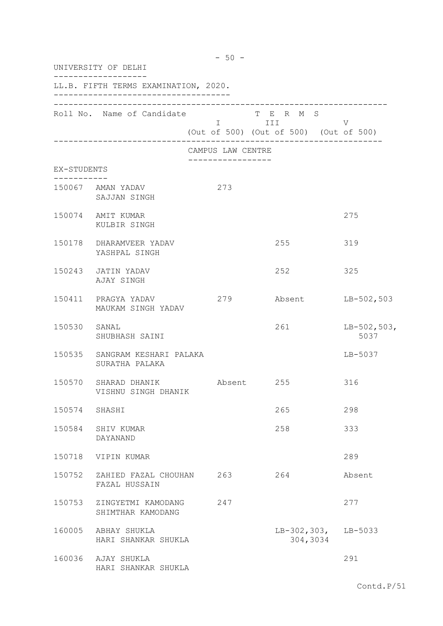|               | UNIVERSITY OF DELHI                             |                   |                                                                        |                       |
|---------------|-------------------------------------------------|-------------------|------------------------------------------------------------------------|-----------------------|
|               | LL.B. FIFTH TERMS EXAMINATION, 2020.            |                   |                                                                        |                       |
|               | Roll No. Name of Candidate                      |                   | T E R M S<br>$I = I - I - V$<br>(Out of 500) (Out of 500) (Out of 500) |                       |
|               |                                                 | CAMPUS LAW CENTRE |                                                                        |                       |
| EX-STUDENTS   |                                                 | ----------------- |                                                                        |                       |
|               | 150067 AMAN YADAV<br>SAJJAN SINGH               | 273               |                                                                        |                       |
|               | 150074 AMIT KUMAR<br>KULBIR SINGH               |                   |                                                                        | 275                   |
|               | 150178 DHARAMVEER YADAV<br>YASHPAL SINGH        |                   | 255                                                                    | 319                   |
|               | 150243 JATIN YADAV<br>AJAY SINGH                |                   | 252                                                                    | 325                   |
|               | 150411 PRAGYA YADAV<br>MAUKAM SINGH YADAV       | 279               | Absent                                                                 | $LB-502,503$          |
| 150530 SANAL  | SHUBHASH SAINI                                  |                   | 261                                                                    | $LB-502,503,$<br>5037 |
|               | 150535 SANGRAM KESHARI PALAKA<br>SURATHA PALAKA |                   |                                                                        | $LB-5037$             |
|               | 150570 SHARAD DHANIK<br>VISHNU SINGH DHANIK     |                   | Absent 255                                                             | 316                   |
| 150574 SHASHI |                                                 |                   | 265                                                                    | 298                   |
|               | 150584 SHIV KUMAR<br>DAYANAND                   |                   | 258                                                                    | 333                   |
| 150718        | VIPIN KUMAR                                     |                   |                                                                        | 289                   |
| 150752        | ZAHIED FAZAL CHOUHAN<br>FAZAL HUSSAIN           | 263               | 264                                                                    | Absent                |
|               | 150753 ZINGYETMI KAMODANG<br>SHIMTHAR KAMODANG  | 247               |                                                                        | 277                   |
|               | 160005 ABHAY SHUKLA<br>HARI SHANKAR SHUKLA      |                   | LB-302, 303, LB-5033<br>304,3034                                       |                       |
|               | 160036 AJAY SHUKLA<br>HARI SHANKAR SHUKLA       |                   |                                                                        | 291                   |

- 50 -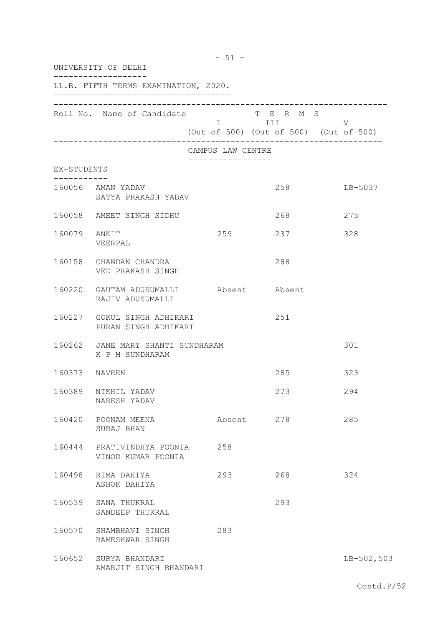| UNIVERSITY OF DELHI                  |                                                            |                   |                                                              |              |  |  |
|--------------------------------------|------------------------------------------------------------|-------------------|--------------------------------------------------------------|--------------|--|--|
| LL.B. FIFTH TERMS EXAMINATION, 2020. |                                                            |                   |                                                              |              |  |  |
|                                      | Roll No. Name of Candidate                                 |                   | T E R M S<br>I III<br>(Out of 500) (Out of 500) (Out of 500) | V            |  |  |
|                                      |                                                            | CAMPUS LAW CENTRE |                                                              |              |  |  |
| EX-STUDENTS                          |                                                            |                   |                                                              |              |  |  |
|                                      | 160056 AMAN YADAV<br>SATYA PRAKASH YADAV                   |                   | 258                                                          | LB-5037      |  |  |
|                                      | 160058 AMEET SINGH SIDHU                                   |                   | 268                                                          | 275          |  |  |
| 160079 ANKIT                         | VEERPAL                                                    |                   | 259 237                                                      | 328          |  |  |
|                                      | 160158 CHANDAN CHANDRA<br>VED PRAKASH SINGH                |                   | 288                                                          |              |  |  |
|                                      | 160220 GAUTAM ADUSUMALLI Absent Absent<br>RAJIV ADUSUMALLI |                   |                                                              |              |  |  |
|                                      | 160227 GOKUL SINGH ADHIKARI<br>PURAN SINGH ADHIKARI        |                   | 251                                                          |              |  |  |
|                                      | 160262 JANE MARY SHANTI SUNDHARAM<br>K P M SUNDHARAM       |                   |                                                              | 301          |  |  |
| 160373 NAVEEN                        |                                                            |                   | 285                                                          | 323          |  |  |
|                                      | 160389 NIKHIL YADAV<br>NARESH YADAV                        |                   | 273                                                          | 294          |  |  |
|                                      | 160420 POONAM MEENA<br>SURAJ BHAN                          |                   | Absent 278                                                   | 285          |  |  |
|                                      | 160444 PRATIVINDHYA POONIA<br>VINOD KUMAR POONIA           | 258               |                                                              |              |  |  |
|                                      | 160498 RIMA DAHIYA<br>ASHOK DAHIYA                         | 293               | 268                                                          | 324          |  |  |
|                                      | 160539 SANA THUKRAL<br>SANDEEP THUKRAL                     |                   | 293                                                          |              |  |  |
|                                      | 160570 SHAMBHAVI SINGH<br>RAMESHWAR SINGH                  | 283               |                                                              |              |  |  |
|                                      | 160652 SURYA BHANDARI<br>AMARJIT SINGH BHANDARI            |                   |                                                              | $LB-502,503$ |  |  |

- 51 -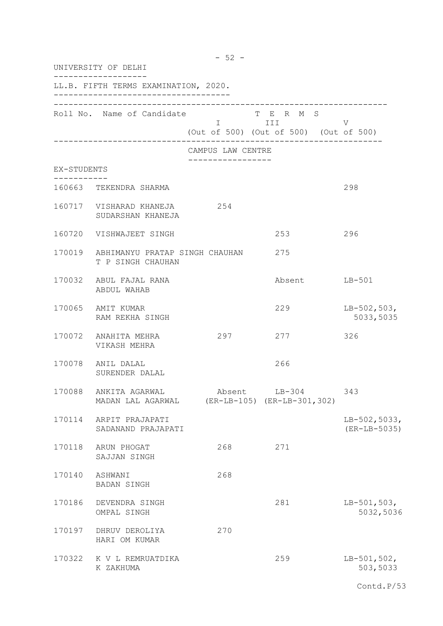|                                      | UNIVERSITY OF DELHI                                                     |                   |                                                                |                                  |  |  |
|--------------------------------------|-------------------------------------------------------------------------|-------------------|----------------------------------------------------------------|----------------------------------|--|--|
| LL.B. FIFTH TERMS EXAMINATION, 2020. |                                                                         |                   |                                                                |                                  |  |  |
|                                      | Roll No. Name of Candidate                                              |                   | T E R M S<br>I III V<br>(Out of 500) (Out of 500) (Out of 500) |                                  |  |  |
|                                      |                                                                         | CAMPUS LAW CENTRE |                                                                |                                  |  |  |
| EX-STUDENTS                          |                                                                         |                   |                                                                |                                  |  |  |
|                                      | 160663 TEKENDRA SHARMA                                                  |                   |                                                                | 298                              |  |  |
|                                      | 160717 VISHARAD KHANEJA 254<br>SUDARSHAN KHANEJA                        |                   |                                                                |                                  |  |  |
|                                      | 160720 VISHWAJEET SINGH                                                 |                   | 253                                                            | 296                              |  |  |
|                                      | 170019 ABHIMANYU PRATAP SINGH CHAUHAN<br>T P SINGH CHAUHAN              |                   | 275                                                            |                                  |  |  |
|                                      | 170032 ABUL FAJAL RANA<br>ABDUL WAHAB                                   |                   | Absent LB-501                                                  |                                  |  |  |
|                                      | 170065 AMIT KUMAR<br>RAM REKHA SINGH                                    |                   | 229                                                            | $LB-502,503,$<br>5033,5035       |  |  |
|                                      | 170072 ANAHITA MEHRA<br>VIKASH MEHRA                                    | 297               | 277                                                            | 326                              |  |  |
|                                      | 170078 ANIL DALAL<br>SURENDER DALAL                                     |                   | 266                                                            |                                  |  |  |
|                                      | 170088 ANKITA AGARWAL<br>MADAN LAL AGARWAL (ER-LB-105) (ER-LB-301, 302) |                   | Absent LB-304 343                                              |                                  |  |  |
|                                      | 170114 ARPIT PRAJAPATI<br>SADANAND PRAJAPATI                            |                   |                                                                | $LB-502,5033,$<br>$(ER-LB-5035)$ |  |  |
|                                      | 170118 ARUN PHOGAT<br>SAJJAN SINGH                                      | 268               | 271                                                            |                                  |  |  |
| 170140                               | ASHWANI<br>BADAN SINGH                                                  | 268               |                                                                |                                  |  |  |
| 170186                               | DEVENDRA SINGH<br>OMPAL SINGH                                           |                   | 281                                                            | $LB-501,503,$<br>5032,5036       |  |  |
|                                      | 170197 DHRUV DEROLIYA<br>HARI OM KUMAR                                  | 270               |                                                                |                                  |  |  |
|                                      | 170322 K V L REMRUATDIKA<br>K ZAKHUMA                                   |                   | 259                                                            | $LB-501,502,$<br>503,5033        |  |  |

Contd.P/53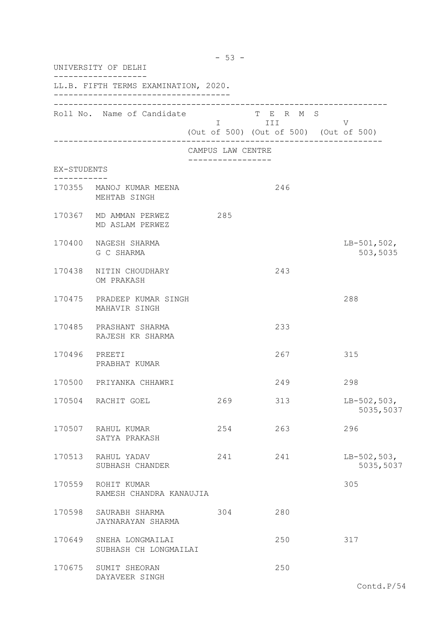|             | UNIVERSITY OF DELHI                              |                   |                                                                                                                                                   |                            |
|-------------|--------------------------------------------------|-------------------|---------------------------------------------------------------------------------------------------------------------------------------------------|----------------------------|
|             | LL.B. FIFTH TERMS EXAMINATION, 2020.             |                   |                                                                                                                                                   |                            |
|             | Roll No. Name of Candidate                       |                   | T E R M S<br>$\begin{array}{ccc}\n\text{I} & \text{III} & \text{I} & \text{I} & \text{II}\n\end{array}$<br>(Out of 500) (Out of 500) (Out of 500) | V                          |
|             |                                                  | CAMPUS LAW CENTRE |                                                                                                                                                   |                            |
| EX-STUDENTS |                                                  | . <u>.</u>        |                                                                                                                                                   |                            |
|             | 170355 MANOJ KUMAR MEENA<br>MEHTAB SINGH         |                   | 246                                                                                                                                               |                            |
|             | 170367 MD AMMAN PERWEZ 285<br>MD ASLAM PERWEZ    |                   |                                                                                                                                                   |                            |
|             | 170400 NAGESH SHARMA<br>G C SHARMA               |                   |                                                                                                                                                   | $LB-501,502,$<br>503,5035  |
|             | 170438 NITIN CHOUDHARY<br>OM PRAKASH             |                   | 243                                                                                                                                               |                            |
|             | 170475 PRADEEP KUMAR SINGH<br>MAHAVIR SINGH      |                   |                                                                                                                                                   | 288                        |
|             | 170485 PRASHANT SHARMA<br>RAJESH KR SHARMA       |                   | 233                                                                                                                                               |                            |
|             | 170496 PREETI<br>PRABHAT KUMAR                   |                   | 267                                                                                                                                               | 315                        |
|             | 170500 PRIYANKA CHHAWRI                          |                   | 249                                                                                                                                               | 298                        |
|             | 170504 RACHIT GOEL                               | 269               | 313                                                                                                                                               | $LB-502,503,$<br>5035,5037 |
|             | 170507 RAHUL KUMAR<br>SATYA PRAKASH              | 254               | 263                                                                                                                                               | 296                        |
| 170513      | RAHUL YADAV<br>SUBHASH CHANDER                   | 241               | 241                                                                                                                                               | $LB-502,503,$<br>5035,5037 |
|             | 170559 ROHIT KUMAR<br>RAMESH CHANDRA KANAUJIA    |                   |                                                                                                                                                   | 305                        |
| 170598      | SAURABH SHARMA<br>JAYNARAYAN SHARMA              | 304               | 280                                                                                                                                               |                            |
|             | 170649 SNEHA LONGMAILAI<br>SUBHASH CH LONGMAILAI |                   | 250                                                                                                                                               | 317                        |
| 170675      | SUMIT SHEORAN<br>DAYAVEER SINGH                  |                   | 250                                                                                                                                               |                            |